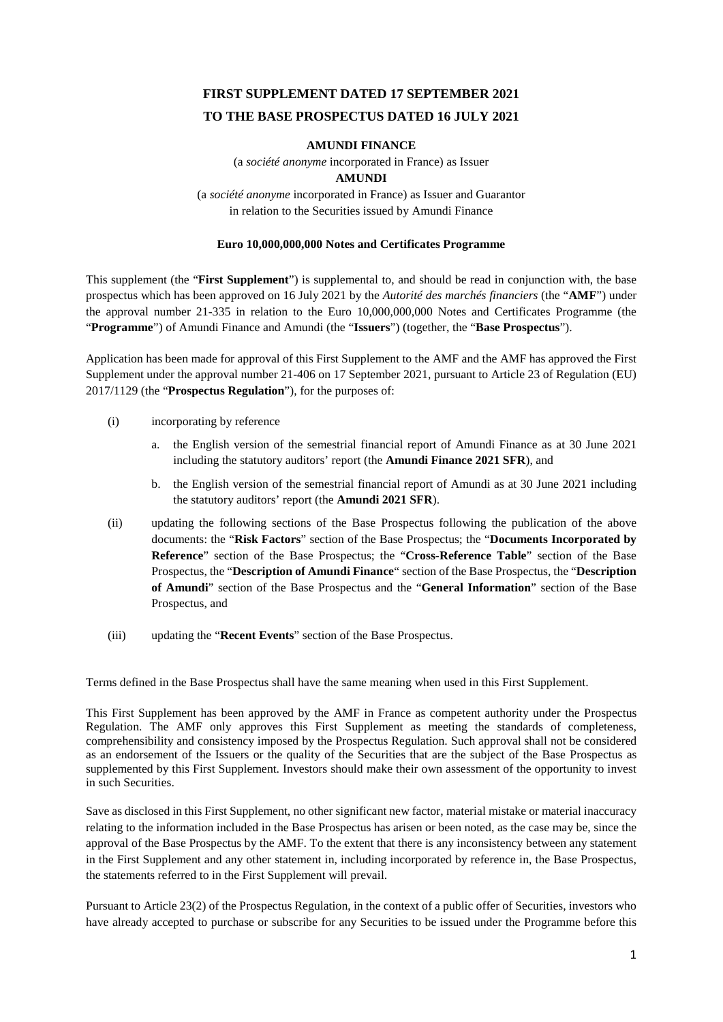# **FIRST SUPPLEMENT DATED 17 SEPTEMBER 2021 TO THE BASE PROSPECTUS DATED 16 JULY 2021**

# **AMUNDI FINANCE**

(a *société anonyme* incorporated in France) as Issuer

# **AMUNDI**

(a *société anonyme* incorporated in France) as Issuer and Guarantor in relation to the Securities issued by Amundi Finance

# **Euro 10,000,000,000 Notes and Certificates Programme**

This supplement (the "**First Supplement**") is supplemental to, and should be read in conjunction with, the base prospectus which has been approved on 16 July 2021 by the *Autorité des marchés financiers* (the "**AMF**") under the approval number 21-335 in relation to the Euro 10,000,000,000 Notes and Certificates Programme (the "**Programme**") of Amundi Finance and Amundi (the "**Issuers**") (together, the "**Base Prospectus**").

Application has been made for approval of this First Supplement to the AMF and the AMF has approved the First Supplement under the approval number 21-406 on 17 September 2021, pursuant to Article 23 of Regulation (EU) 2017/1129 (the "**Prospectus Regulation**"), for the purposes of:

- (i) incorporating by reference
	- a. the English version of the semestrial financial report of Amundi Finance as at 30 June 2021 including the statutory auditors' report (the **Amundi Finance 2021 SFR**), and
	- b. the English version of the semestrial financial report of Amundi as at 30 June 2021 including the statutory auditors' report (the **Amundi 2021 SFR**).
- (ii) updating the following sections of the Base Prospectus following the publication of the above documents: the "**Risk Factors**" section of the Base Prospectus; the "**Documents Incorporated by Reference**" section of the Base Prospectus; the "**Cross-Reference Table**" section of the Base Prospectus, the "**Description of Amundi Finance**" section of the Base Prospectus, the "**Description of Amundi**" section of the Base Prospectus and the "**General Information**" section of the Base Prospectus, and
- (iii) updating the "**Recent Events**" section of the Base Prospectus.

Terms defined in the Base Prospectus shall have the same meaning when used in this First Supplement.

This First Supplement has been approved by the AMF in France as competent authority under the Prospectus Regulation. The AMF only approves this First Supplement as meeting the standards of completeness, comprehensibility and consistency imposed by the Prospectus Regulation. Such approval shall not be considered as an endorsement of the Issuers or the quality of the Securities that are the subject of the Base Prospectus as supplemented by this First Supplement. Investors should make their own assessment of the opportunity to invest in such Securities.

Save as disclosed in this First Supplement, no other significant new factor, material mistake or material inaccuracy relating to the information included in the Base Prospectus has arisen or been noted, as the case may be, since the approval of the Base Prospectus by the AMF. To the extent that there is any inconsistency between any statement in the First Supplement and any other statement in, including incorporated by reference in, the Base Prospectus, the statements referred to in the First Supplement will prevail.

Pursuant to Article 23(2) of the Prospectus Regulation, in the context of a public offer of Securities, investors who have already accepted to purchase or subscribe for any Securities to be issued under the Programme before this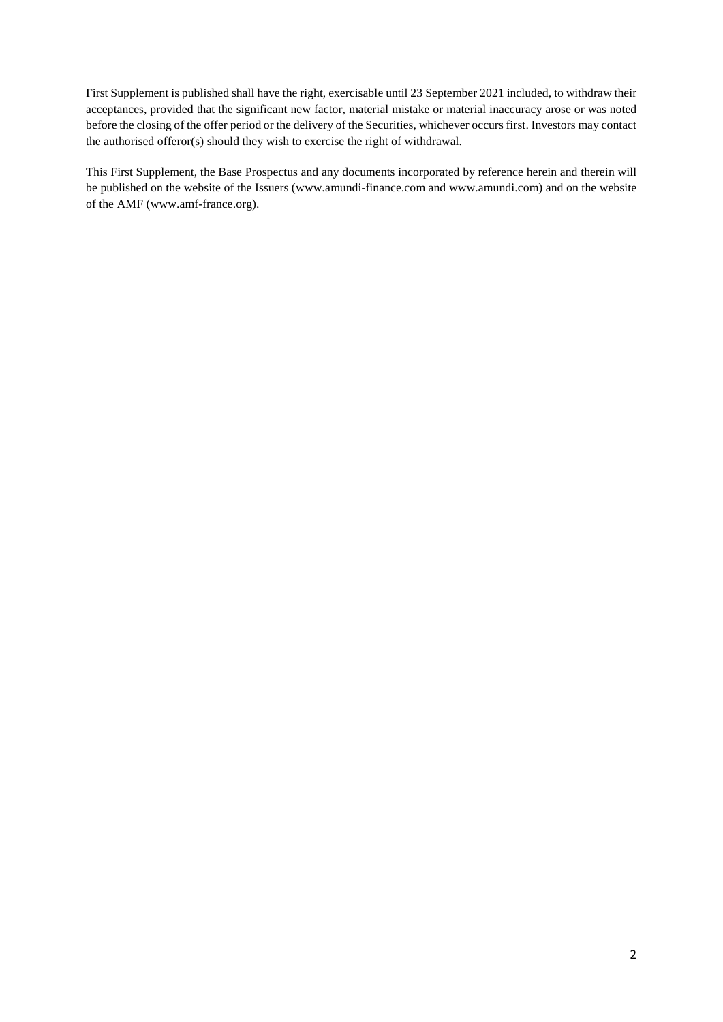First Supplement is published shall have the right, exercisable until 23 September 2021 included, to withdraw their acceptances, provided that the significant new factor, material mistake or material inaccuracy arose or was noted before the closing of the offer period or the delivery of the Securities, whichever occurs first. Investors may contact the authorised offeror(s) should they wish to exercise the right of withdrawal.

This First Supplement, the Base Prospectus and any documents incorporated by reference herein and therein will be published on the website of the Issuers (www.amundi-finance.com and www.amundi.com) and on the website of the AMF (www.amf-france.org).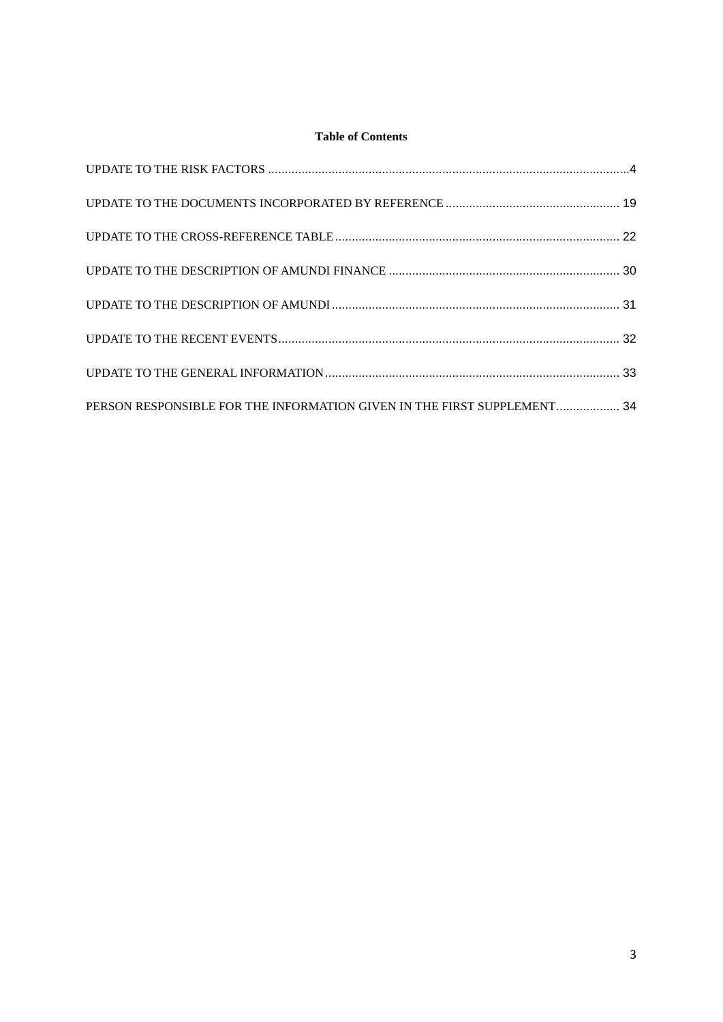# **Table of Contents**

| PERSON RESPONSIBLE FOR THE INFORMATION GIVEN IN THE FIRST SUPPLEMENT 34 |  |
|-------------------------------------------------------------------------|--|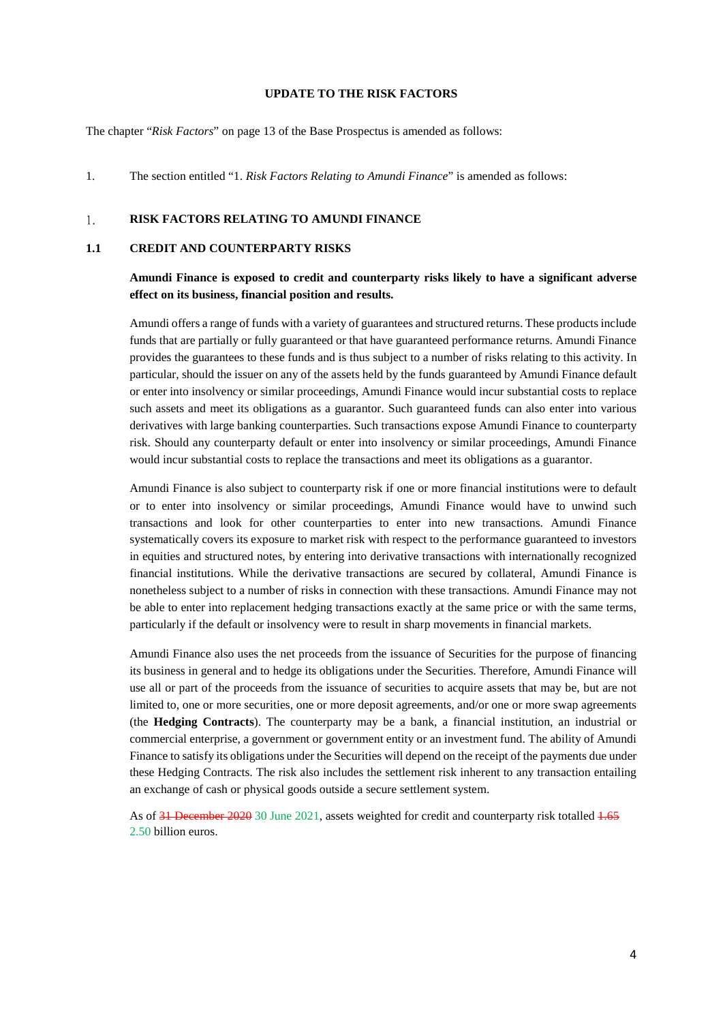#### <span id="page-3-0"></span>**UPDATE TO THE RISK FACTORS**

The chapter "*Risk Factors*" on page 13 of the Base Prospectus is amended as follows:

1. The section entitled "1. *Risk Factors Relating to Amundi Finance*" is amended as follows:

#### $\overline{1}$ . **RISK FACTORS RELATING TO AMUNDI FINANCE**

#### **1.1 CREDIT AND COUNTERPARTY RISKS**

# **Amundi Finance is exposed to credit and counterparty risks likely to have a significant adverse effect on its business, financial position and results.**

Amundi offers a range of funds with a variety of guarantees and structured returns. These products include funds that are partially or fully guaranteed or that have guaranteed performance returns. Amundi Finance provides the guarantees to these funds and is thus subject to a number of risks relating to this activity. In particular, should the issuer on any of the assets held by the funds guaranteed by Amundi Finance default or enter into insolvency or similar proceedings, Amundi Finance would incur substantial costs to replace such assets and meet its obligations as a guarantor. Such guaranteed funds can also enter into various derivatives with large banking counterparties. Such transactions expose Amundi Finance to counterparty risk. Should any counterparty default or enter into insolvency or similar proceedings, Amundi Finance would incur substantial costs to replace the transactions and meet its obligations as a guarantor.

Amundi Finance is also subject to counterparty risk if one or more financial institutions were to default or to enter into insolvency or similar proceedings, Amundi Finance would have to unwind such transactions and look for other counterparties to enter into new transactions. Amundi Finance systematically covers its exposure to market risk with respect to the performance guaranteed to investors in equities and structured notes, by entering into derivative transactions with internationally recognized financial institutions. While the derivative transactions are secured by collateral, Amundi Finance is nonetheless subject to a number of risks in connection with these transactions. Amundi Finance may not be able to enter into replacement hedging transactions exactly at the same price or with the same terms, particularly if the default or insolvency were to result in sharp movements in financial markets.

Amundi Finance also uses the net proceeds from the issuance of Securities for the purpose of financing its business in general and to hedge its obligations under the Securities. Therefore, Amundi Finance will use all or part of the proceeds from the issuance of securities to acquire assets that may be, but are not limited to, one or more securities, one or more deposit agreements, and/or one or more swap agreements (the **Hedging Contracts**). The counterparty may be a bank, a financial institution, an industrial or commercial enterprise, a government or government entity or an investment fund. The ability of Amundi Finance to satisfy its obligations under the Securities will depend on the receipt of the payments due under these Hedging Contracts. The risk also includes the settlement risk inherent to any transaction entailing an exchange of cash or physical goods outside a secure settlement system.

As of 31 December 2020 30 June 2021, assets weighted for credit and counterparty risk totalled 1.65 2.50 billion euros.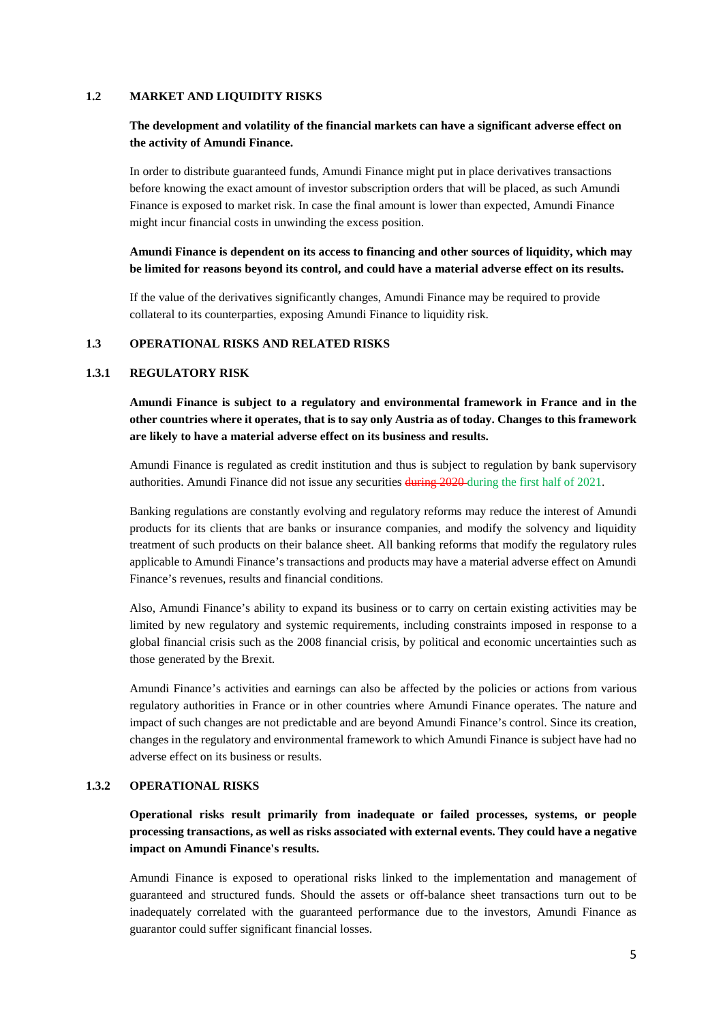#### **1.2 MARKET AND LIQUIDITY RISKS**

# **The development and volatility of the financial markets can have a significant adverse effect on the activity of Amundi Finance.**

In order to distribute guaranteed funds, Amundi Finance might put in place derivatives transactions before knowing the exact amount of investor subscription orders that will be placed, as such Amundi Finance is exposed to market risk. In case the final amount is lower than expected, Amundi Finance might incur financial costs in unwinding the excess position.

# **Amundi Finance is dependent on its access to financing and other sources of liquidity, which may be limited for reasons beyond its control, and could have a material adverse effect on its results.**

If the value of the derivatives significantly changes, Amundi Finance may be required to provide collateral to its counterparties, exposing Amundi Finance to liquidity risk.

## **1.3 OPERATIONAL RISKS AND RELATED RISKS**

#### **1.3.1 REGULATORY RISK**

**Amundi Finance is subject to a regulatory and environmental framework in France and in the other countries where it operates, that is to say only Austria as of today. Changes to this framework are likely to have a material adverse effect on its business and results.**

Amundi Finance is regulated as credit institution and thus is subject to regulation by bank supervisory authorities. Amundi Finance did not issue any securities during 2020 during the first half of 2021.

Banking regulations are constantly evolving and regulatory reforms may reduce the interest of Amundi products for its clients that are banks or insurance companies, and modify the solvency and liquidity treatment of such products on their balance sheet. All banking reforms that modify the regulatory rules applicable to Amundi Finance's transactions and products may have a material adverse effect on Amundi Finance's revenues, results and financial conditions.

Also, Amundi Finance's ability to expand its business or to carry on certain existing activities may be limited by new regulatory and systemic requirements, including constraints imposed in response to a global financial crisis such as the 2008 financial crisis, by political and economic uncertainties such as those generated by the Brexit.

Amundi Finance's activities and earnings can also be affected by the policies or actions from various regulatory authorities in France or in other countries where Amundi Finance operates. The nature and impact of such changes are not predictable and are beyond Amundi Finance's control. Since its creation, changes in the regulatory and environmental framework to which Amundi Finance is subject have had no adverse effect on its business or results.

#### **1.3.2 OPERATIONAL RISKS**

**Operational risks result primarily from inadequate or failed processes, systems, or people processing transactions, as well as risks associated with external events. They could have a negative impact on Amundi Finance's results.** 

Amundi Finance is exposed to operational risks linked to the implementation and management of guaranteed and structured funds. Should the assets or off-balance sheet transactions turn out to be inadequately correlated with the guaranteed performance due to the investors, Amundi Finance as guarantor could suffer significant financial losses.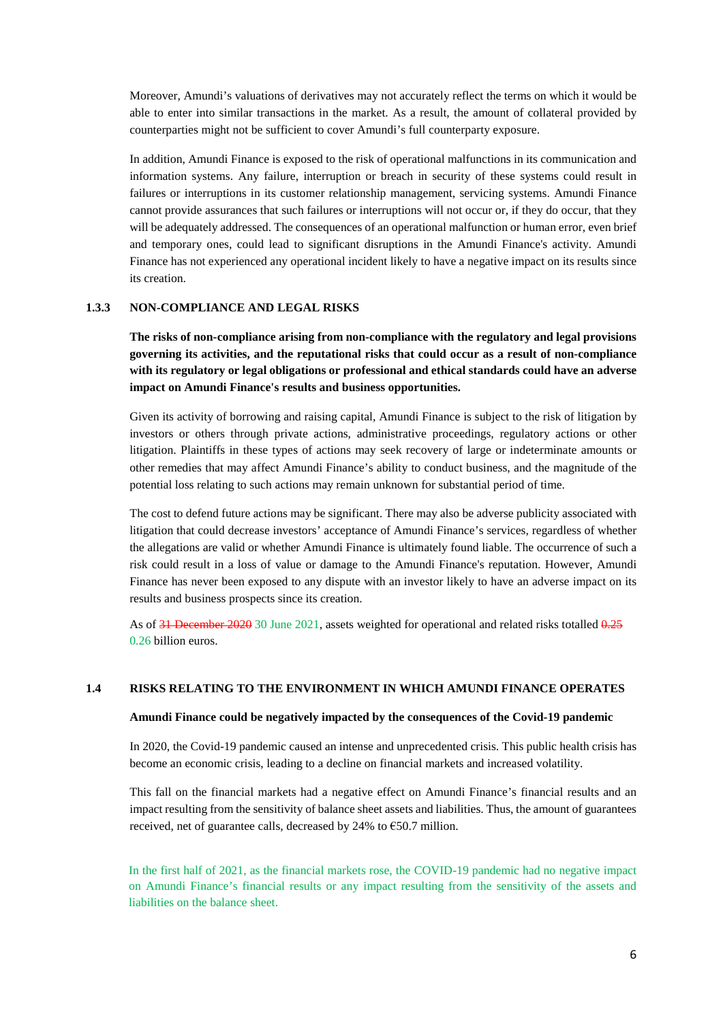Moreover, Amundi's valuations of derivatives may not accurately reflect the terms on which it would be able to enter into similar transactions in the market. As a result, the amount of collateral provided by counterparties might not be sufficient to cover Amundi's full counterparty exposure.

In addition, Amundi Finance is exposed to the risk of operational malfunctions in its communication and information systems. Any failure, interruption or breach in security of these systems could result in failures or interruptions in its customer relationship management, servicing systems. Amundi Finance cannot provide assurances that such failures or interruptions will not occur or, if they do occur, that they will be adequately addressed. The consequences of an operational malfunction or human error, even brief and temporary ones, could lead to significant disruptions in the Amundi Finance's activity. Amundi Finance has not experienced any operational incident likely to have a negative impact on its results since its creation.

#### **1.3.3 NON-COMPLIANCE AND LEGAL RISKS**

**The risks of non-compliance arising from non-compliance with the regulatory and legal provisions governing its activities, and the reputational risks that could occur as a result of non-compliance with its regulatory or legal obligations or professional and ethical standards could have an adverse impact on Amundi Finance's results and business opportunities.** 

Given its activity of borrowing and raising capital, Amundi Finance is subject to the risk of litigation by investors or others through private actions, administrative proceedings, regulatory actions or other litigation. Plaintiffs in these types of actions may seek recovery of large or indeterminate amounts or other remedies that may affect Amundi Finance's ability to conduct business, and the magnitude of the potential loss relating to such actions may remain unknown for substantial period of time.

The cost to defend future actions may be significant. There may also be adverse publicity associated with litigation that could decrease investors' acceptance of Amundi Finance's services, regardless of whether the allegations are valid or whether Amundi Finance is ultimately found liable. The occurrence of such a risk could result in a loss of value or damage to the Amundi Finance's reputation. However, Amundi Finance has never been exposed to any dispute with an investor likely to have an adverse impact on its results and business prospects since its creation.

As of 31 December 2020 30 June 2021, assets weighted for operational and related risks totalled  $0.25$ 0.26 billion euros.

#### **1.4 RISKS RELATING TO THE ENVIRONMENT IN WHICH AMUNDI FINANCE OPERATES**

#### **Amundi Finance could be negatively impacted by the consequences of the Covid-19 pandemic**

In 2020, the Covid-19 pandemic caused an intense and unprecedented crisis. This public health crisis has become an economic crisis, leading to a decline on financial markets and increased volatility.

This fall on the financial markets had a negative effect on Amundi Finance's financial results and an impact resulting from the sensitivity of balance sheet assets and liabilities. Thus, the amount of guarantees received, net of guarantee calls, decreased by 24% to  $\epsilon$ 50.7 million.

In the first half of 2021, as the financial markets rose, the COVID-19 pandemic had no negative impact on Amundi Finance's financial results or any impact resulting from the sensitivity of the assets and liabilities on the balance sheet.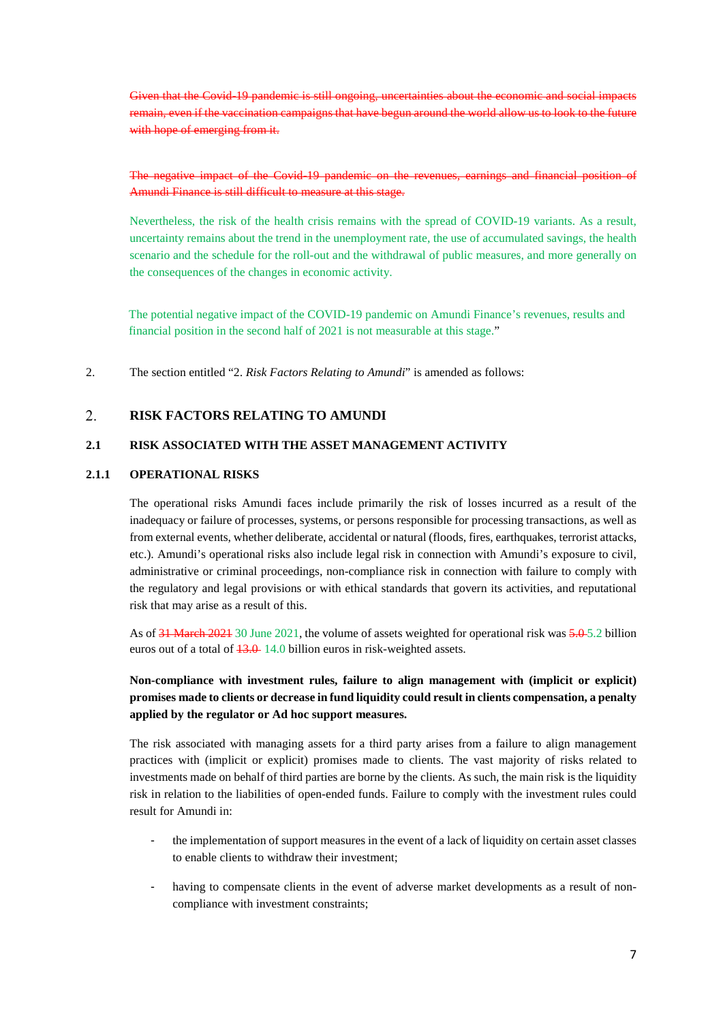Given that the Covid-19 pandemic is still ongoing, uncertainties about the economic and remain, even if the vaccination campaigns that have begun around the world allow us to look to the future with hope of emerging from it.

The negative impact of the Covid-19 pandemic on the revenues, earnings and financial position of Amundi Finance is still difficult to measure at this stage.

Nevertheless, the risk of the health crisis remains with the spread of COVID-19 variants. As a result, uncertainty remains about the trend in the unemployment rate, the use of accumulated savings, the health scenario and the schedule for the roll-out and the withdrawal of public measures, and more generally on the consequences of the changes in economic activity.

The potential negative impact of the COVID-19 pandemic on Amundi Finance's revenues, results and financial position in the second half of 2021 is not measurable at this stage."

2. The section entitled "2. *Risk Factors Relating to Amundi*" is amended as follows:

#### $\overline{2}$ . **RISK FACTORS RELATING TO AMUNDI**

# **2.1 RISK ASSOCIATED WITH THE ASSET MANAGEMENT ACTIVITY**

# **2.1.1 OPERATIONAL RISKS**

The operational risks Amundi faces include primarily the risk of losses incurred as a result of the inadequacy or failure of processes, systems, or persons responsible for processing transactions, as well as from external events, whether deliberate, accidental or natural (floods, fires, earthquakes, terrorist attacks, etc.). Amundi's operational risks also include legal risk in connection with Amundi's exposure to civil, administrative or criminal proceedings, non-compliance risk in connection with failure to comply with the regulatory and legal provisions or with ethical standards that govern its activities, and reputational risk that may arise as a result of this.

As of  $31$  March 2021 30 June 2021, the volume of assets weighted for operational risk was  $5.0 - 5.2$  billion euros out of a total of  $\frac{13.0}{14.0}$  hillion euros in risk-weighted assets.

# **Non-compliance with investment rules, failure to align management with (implicit or explicit) promises made to clients or decrease in fund liquidity could result in clients compensation, a penalty applied by the regulator or Ad hoc support measures.**

The risk associated with managing assets for a third party arises from a failure to align management practices with (implicit or explicit) promises made to clients. The vast majority of risks related to investments made on behalf of third parties are borne by the clients. As such, the main risk is the liquidity risk in relation to the liabilities of open-ended funds. Failure to comply with the investment rules could result for Amundi in:

- the implementation of support measures in the event of a lack of liquidity on certain asset classes to enable clients to withdraw their investment;
- having to compensate clients in the event of adverse market developments as a result of noncompliance with investment constraints;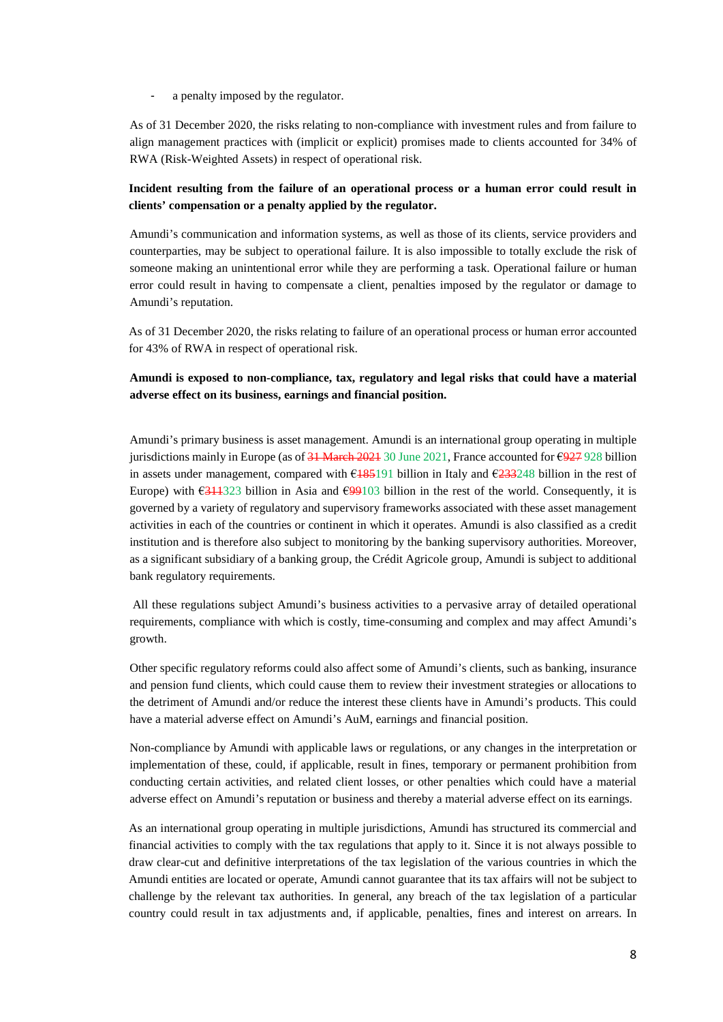a penalty imposed by the regulator.

As of 31 December 2020, the risks relating to non-compliance with investment rules and from failure to align management practices with (implicit or explicit) promises made to clients accounted for 34% of RWA (Risk-Weighted Assets) in respect of operational risk.

# **Incident resulting from the failure of an operational process or a human error could result in clients' compensation or a penalty applied by the regulator.**

Amundi's communication and information systems, as well as those of its clients, service providers and counterparties, may be subject to operational failure. It is also impossible to totally exclude the risk of someone making an unintentional error while they are performing a task. Operational failure or human error could result in having to compensate a client, penalties imposed by the regulator or damage to Amundi's reputation.

As of 31 December 2020, the risks relating to failure of an operational process or human error accounted for 43% of RWA in respect of operational risk.

# **Amundi is exposed to non-compliance, tax, regulatory and legal risks that could have a material adverse effect on its business, earnings and financial position.**

Amundi's primary business is asset management. Amundi is an international group operating in multiple jurisdictions mainly in Europe (as of  $31$  March 2021 30 June 2021, France accounted for  $\epsilon$ 927 928 billion in assets under management, compared with  $6185191$  billion in Italy and  $6233248$  billion in the rest of Europe) with  $\epsilon$ 311323 billion in Asia and  $\epsilon$ 99103 billion in the rest of the world. Consequently, it is governed by a variety of regulatory and supervisory frameworks associated with these asset management activities in each of the countries or continent in which it operates. Amundi is also classified as a credit institution and is therefore also subject to monitoring by the banking supervisory authorities. Moreover, as a significant subsidiary of a banking group, the Crédit Agricole group, Amundi is subject to additional bank regulatory requirements.

 All these regulations subject Amundi's business activities to a pervasive array of detailed operational requirements, compliance with which is costly, time-consuming and complex and may affect Amundi's growth.

Other specific regulatory reforms could also affect some of Amundi's clients, such as banking, insurance and pension fund clients, which could cause them to review their investment strategies or allocations to the detriment of Amundi and/or reduce the interest these clients have in Amundi's products. This could have a material adverse effect on Amundi's AuM, earnings and financial position.

Non-compliance by Amundi with applicable laws or regulations, or any changes in the interpretation or implementation of these, could, if applicable, result in fines, temporary or permanent prohibition from conducting certain activities, and related client losses, or other penalties which could have a material adverse effect on Amundi's reputation or business and thereby a material adverse effect on its earnings.

As an international group operating in multiple jurisdictions, Amundi has structured its commercial and financial activities to comply with the tax regulations that apply to it. Since it is not always possible to draw clear-cut and definitive interpretations of the tax legislation of the various countries in which the Amundi entities are located or operate, Amundi cannot guarantee that its tax affairs will not be subject to challenge by the relevant tax authorities. In general, any breach of the tax legislation of a particular country could result in tax adjustments and, if applicable, penalties, fines and interest on arrears. In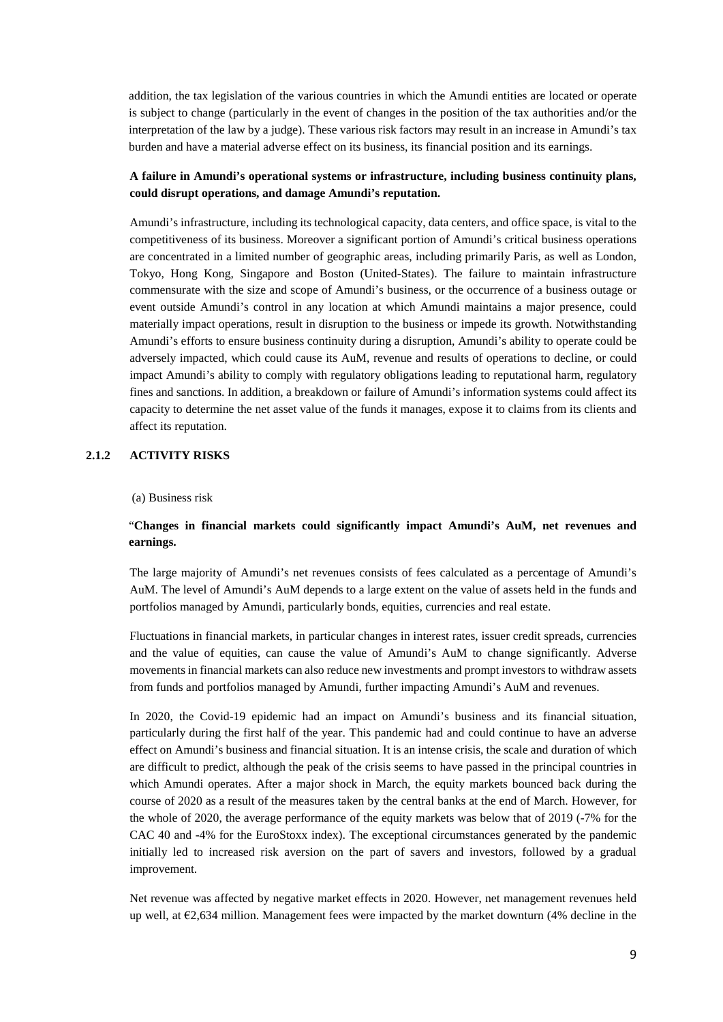addition, the tax legislation of the various countries in which the Amundi entities are located or operate is subject to change (particularly in the event of changes in the position of the tax authorities and/or the interpretation of the law by a judge). These various risk factors may result in an increase in Amundi's tax burden and have a material adverse effect on its business, its financial position and its earnings.

# **A failure in Amundi's operational systems or infrastructure, including business continuity plans, could disrupt operations, and damage Amundi's reputation.**

Amundi's infrastructure, including its technological capacity, data centers, and office space, is vital to the competitiveness of its business. Moreover a significant portion of Amundi's critical business operations are concentrated in a limited number of geographic areas, including primarily Paris, as well as London, Tokyo, Hong Kong, Singapore and Boston (United-States). The failure to maintain infrastructure commensurate with the size and scope of Amundi's business, or the occurrence of a business outage or event outside Amundi's control in any location at which Amundi maintains a major presence, could materially impact operations, result in disruption to the business or impede its growth. Notwithstanding Amundi's efforts to ensure business continuity during a disruption, Amundi's ability to operate could be adversely impacted, which could cause its AuM, revenue and results of operations to decline, or could impact Amundi's ability to comply with regulatory obligations leading to reputational harm, regulatory fines and sanctions. In addition, a breakdown or failure of Amundi's information systems could affect its capacity to determine the net asset value of the funds it manages, expose it to claims from its clients and affect its reputation.

# **2.1.2 ACTIVITY RISKS**

(a) Business risk

# "**Changes in financial markets could significantly impact Amundi's AuM, net revenues and earnings.**

The large majority of Amundi's net revenues consists of fees calculated as a percentage of Amundi's AuM. The level of Amundi's AuM depends to a large extent on the value of assets held in the funds and portfolios managed by Amundi, particularly bonds, equities, currencies and real estate.

Fluctuations in financial markets, in particular changes in interest rates, issuer credit spreads, currencies and the value of equities, can cause the value of Amundi's AuM to change significantly. Adverse movements in financial markets can also reduce new investments and prompt investors to withdraw assets from funds and portfolios managed by Amundi, further impacting Amundi's AuM and revenues.

In 2020, the Covid-19 epidemic had an impact on Amundi's business and its financial situation, particularly during the first half of the year. This pandemic had and could continue to have an adverse effect on Amundi's business and financial situation. It is an intense crisis, the scale and duration of which are difficult to predict, although the peak of the crisis seems to have passed in the principal countries in which Amundi operates. After a major shock in March, the equity markets bounced back during the course of 2020 as a result of the measures taken by the central banks at the end of March. However, for the whole of 2020, the average performance of the equity markets was below that of 2019 (-7% for the CAC 40 and -4% for the EuroStoxx index). The exceptional circumstances generated by the pandemic initially led to increased risk aversion on the part of savers and investors, followed by a gradual improvement.

Net revenue was affected by negative market effects in 2020. However, net management revenues held up well, at  $\epsilon$ 2,634 million. Management fees were impacted by the market downturn (4% decline in the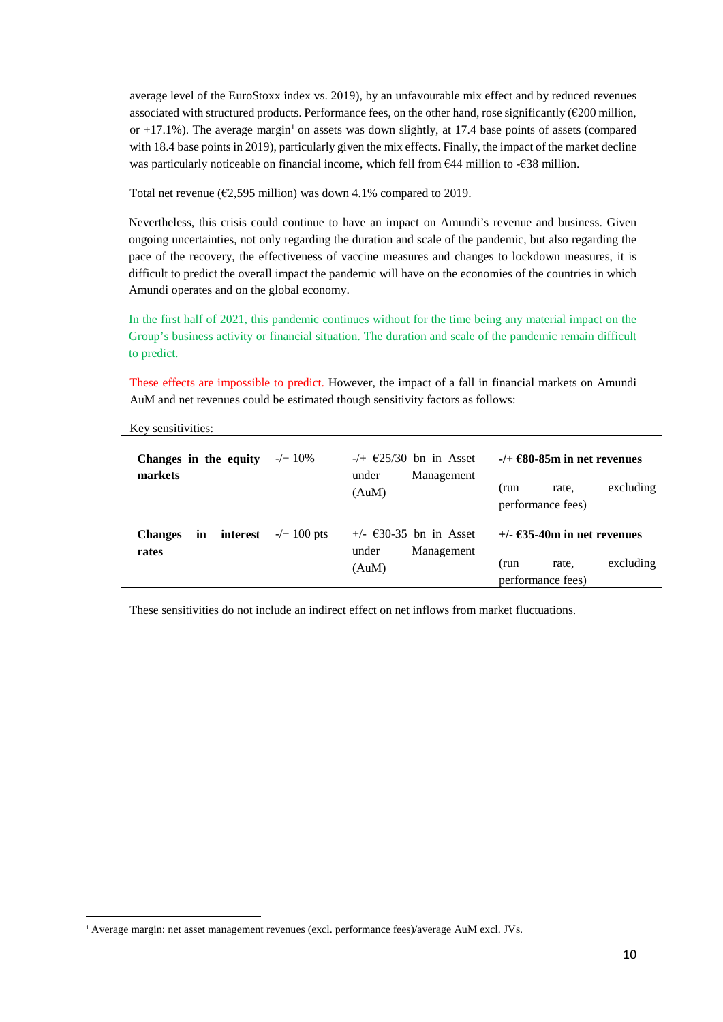average level of the EuroStoxx index vs. 2019), by an unfavourable mix effect and by reduced revenues [associated with structured products. Performance fees, on the other hand, rose significantly \(](#page-9-0) $€200$  million, or  $+17.1\%$ ). The average margin<sup>1</sup>-on assets was down slightly, at 17.4 base points of assets (compared with 18.4 base points in 2019), particularly given the mix effects. Finally, the impact of the market decline was particularly noticeable on financial income, which fell from  $644$  million to - $638$  million.

Total net revenue ( $\epsilon$ 2,595 million) was down 4.1% compared to 2019.

Nevertheless, this crisis could continue to have an impact on Amundi's revenue and business. Given ongoing uncertainties, not only regarding the duration and scale of the pandemic, but also regarding the pace of the recovery, the effectiveness of vaccine measures and changes to lockdown measures, it is difficult to predict the overall impact the pandemic will have on the economies of the countries in which Amundi operates and on the global economy.

In the first half of 2021, this pandemic continues without for the time being any material impact on the Group's business activity or financial situation. The duration and scale of the pandemic remain difficult to predict.

These effects are impossible to predict. However, the impact of a fall in financial markets on Amundi AuM and net revenues could be estimated though sensitivity factors as follows:

| Changes in the equity<br>markets          | $-/+ 10\%$            | $-\left(+\right.$ $\in$ 25/30 bn in Asset<br>Management<br>under<br>(AuM) | $-$ /+ $\epsilon$ 80-85m in net revenues<br>excluding<br>(run<br>rate.<br>performance fees) |
|-------------------------------------------|-----------------------|---------------------------------------------------------------------------|---------------------------------------------------------------------------------------------|
| interest<br><b>Changes</b><br>in<br>rates | $-/+ 100 \text{ pts}$ | $+\prime$ - €30-35 bn in Asset<br>under<br>Management<br>(AuM)            | $+/ \epsilon$ 35-40m in net revenues<br>excluding<br>(run<br>rate.<br>performance fees)     |

Key sensitivities:

These sensitivities do not include an indirect effect on net inflows from market fluctuations.

<span id="page-9-0"></span><sup>&</sup>lt;sup>1</sup> Average margin: net asset management revenues (excl. performance fees)/average AuM excl. JVs.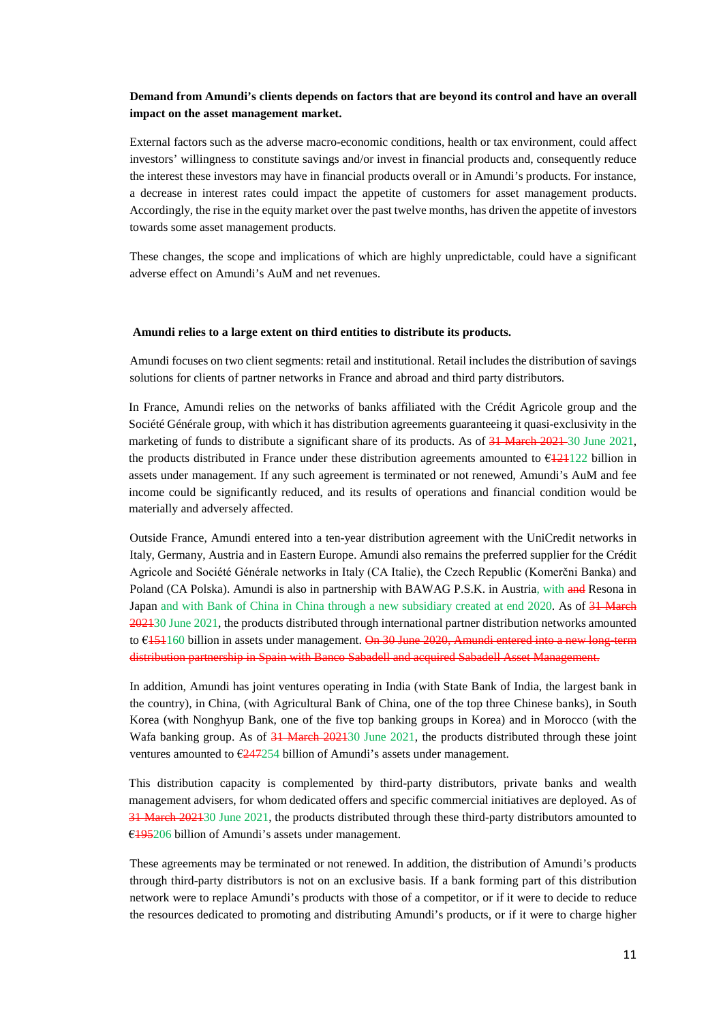# **Demand from Amundi's clients depends on factors that are beyond its control and have an overall impact on the asset management market.**

External factors such as the adverse macro-economic conditions, health or tax environment, could affect investors' willingness to constitute savings and/or invest in financial products and, consequently reduce the interest these investors may have in financial products overall or in Amundi's products. For instance, a decrease in interest rates could impact the appetite of customers for asset management products. Accordingly, the rise in the equity market over the past twelve months, has driven the appetite of investors towards some asset management products.

These changes, the scope and implications of which are highly unpredictable, could have a significant adverse effect on Amundi's AuM and net revenues.

#### **Amundi relies to a large extent on third entities to distribute its products.**

Amundi focuses on two client segments: retail and institutional. Retail includes the distribution of savings solutions for clients of partner networks in France and abroad and third party distributors.

In France, Amundi relies on the networks of banks affiliated with the Crédit Agricole group and the Société Générale group, with which it has distribution agreements guaranteeing it quasi-exclusivity in the marketing of funds to distribute a significant share of its products. As of 31 March 2021–30 June 2021, the products distributed in France under these distribution agreements amounted to  $E$   $E$   $121$   $22$  billion in assets under management. If any such agreement is terminated or not renewed, Amundi's AuM and fee income could be significantly reduced, and its results of operations and financial condition would be materially and adversely affected.

Outside France, Amundi entered into a ten-year distribution agreement with the UniCredit networks in Italy, Germany, Austria and in Eastern Europe. Amundi also remains the preferred supplier for the Crédit Agricole and Société Générale networks in Italy (CA Italie), the Czech Republic (Komerčni Banka) and Poland (CA Polska). Amundi is also in partnership with BAWAG P.S.K. in Austria, with and Resona in Japan and with Bank of China in China through a new subsidiary created at end 2020. As of 31 March 202130 June 2021, the products distributed through international partner distribution networks amounted to  $6151160$  billion in assets under management. On 30 June 2020, Amundi entered into a new long-term distribution partnership in Spain with Banco Sabadell and acquired Sabadell Asset Management.

In addition, Amundi has joint ventures operating in India (with State Bank of India, the largest bank in the country), in China, (with Agricultural Bank of China, one of the top three Chinese banks), in South Korea (with Nonghyup Bank, one of the five top banking groups in Korea) and in Morocco (with the Wafa banking group. As of 31 March 202130 June 2021, the products distributed through these joint ventures amounted to  $\sqrt{247254}$  billion of Amundi's assets under management.

This distribution capacity is complemented by third-party distributors, private banks and wealth management advisers, for whom dedicated offers and specific commercial initiatives are deployed. As of 31 March 202130 June 2021, the products distributed through these third-party distributors amounted to €195206 billion of Amundi's assets under management.

These agreements may be terminated or not renewed. In addition, the distribution of Amundi's products through third-party distributors is not on an exclusive basis. If a bank forming part of this distribution network were to replace Amundi's products with those of a competitor, or if it were to decide to reduce the resources dedicated to promoting and distributing Amundi's products, or if it were to charge higher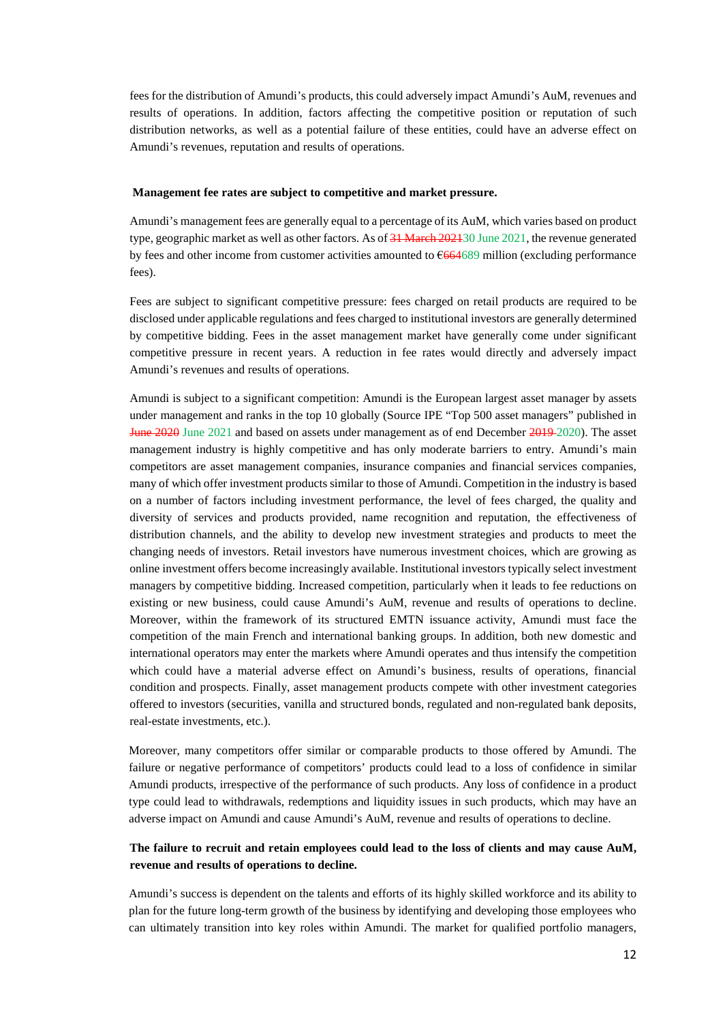fees for the distribution of Amundi's products, this could adversely impact Amundi's AuM, revenues and results of operations. In addition, factors affecting the competitive position or reputation of such distribution networks, as well as a potential failure of these entities, could have an adverse effect on Amundi's revenues, reputation and results of operations.

#### **Management fee rates are subject to competitive and market pressure.**

Amundi's management fees are generally equal to a percentage of its AuM, which varies based on product type, geographic market as well as other factors. As of 31 March 202130 June 2021, the revenue generated by fees and other income from customer activities amounted to  $6664689$  million (excluding performance fees).

Fees are subject to significant competitive pressure: fees charged on retail products are required to be disclosed under applicable regulations and fees charged to institutional investors are generally determined by competitive bidding. Fees in the asset management market have generally come under significant competitive pressure in recent years. A reduction in fee rates would directly and adversely impact Amundi's revenues and results of operations.

Amundi is subject to a significant competition: Amundi is the European largest asset manager by assets under management and ranks in the top 10 globally (Source IPE "Top 500 asset managers" published in June 2020 June 2021 and based on assets under management as of end December 2019 2020). The asset management industry is highly competitive and has only moderate barriers to entry. Amundi's main competitors are asset management companies, insurance companies and financial services companies, many of which offer investment products similar to those of Amundi. Competition in the industry is based on a number of factors including investment performance, the level of fees charged, the quality and diversity of services and products provided, name recognition and reputation, the effectiveness of distribution channels, and the ability to develop new investment strategies and products to meet the changing needs of investors. Retail investors have numerous investment choices, which are growing as online investment offers become increasingly available. Institutional investors typically select investment managers by competitive bidding. Increased competition, particularly when it leads to fee reductions on existing or new business, could cause Amundi's AuM, revenue and results of operations to decline. Moreover, within the framework of its structured EMTN issuance activity, Amundi must face the competition of the main French and international banking groups. In addition, both new domestic and international operators may enter the markets where Amundi operates and thus intensify the competition which could have a material adverse effect on Amundi's business, results of operations, financial condition and prospects. Finally, asset management products compete with other investment categories offered to investors (securities, vanilla and structured bonds, regulated and non-regulated bank deposits, real-estate investments, etc.).

Moreover, many competitors offer similar or comparable products to those offered by Amundi. The failure or negative performance of competitors' products could lead to a loss of confidence in similar Amundi products, irrespective of the performance of such products. Any loss of confidence in a product type could lead to withdrawals, redemptions and liquidity issues in such products, which may have an adverse impact on Amundi and cause Amundi's AuM, revenue and results of operations to decline.

# **The failure to recruit and retain employees could lead to the loss of clients and may cause AuM, revenue and results of operations to decline.**

Amundi's success is dependent on the talents and efforts of its highly skilled workforce and its ability to plan for the future long-term growth of the business by identifying and developing those employees who can ultimately transition into key roles within Amundi. The market for qualified portfolio managers,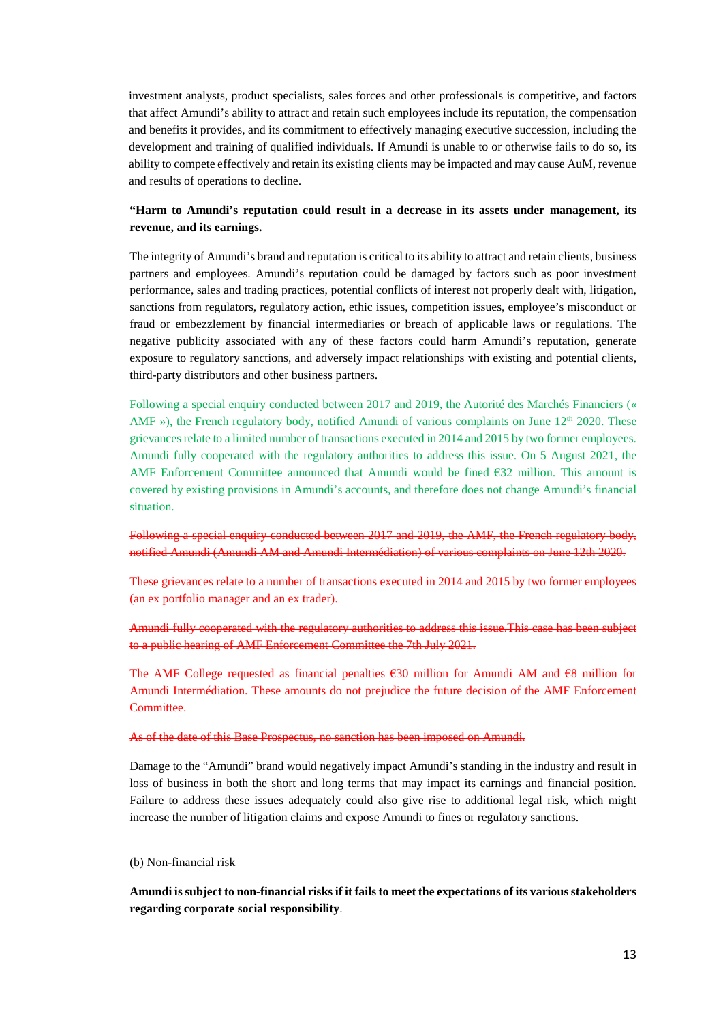investment analysts, product specialists, sales forces and other professionals is competitive, and factors that affect Amundi's ability to attract and retain such employees include its reputation, the compensation and benefits it provides, and its commitment to effectively managing executive succession, including the development and training of qualified individuals. If Amundi is unable to or otherwise fails to do so, its ability to compete effectively and retain its existing clients may be impacted and may cause AuM, revenue and results of operations to decline.

# **"Harm to Amundi's reputation could result in a decrease in its assets under management, its revenue, and its earnings.**

The integrity of Amundi's brand and reputation is critical to its ability to attract and retain clients, business partners and employees. Amundi's reputation could be damaged by factors such as poor investment performance, sales and trading practices, potential conflicts of interest not properly dealt with, litigation, sanctions from regulators, regulatory action, ethic issues, competition issues, employee's misconduct or fraud or embezzlement by financial intermediaries or breach of applicable laws or regulations. The negative publicity associated with any of these factors could harm Amundi's reputation, generate exposure to regulatory sanctions, and adversely impact relationships with existing and potential clients, third-party distributors and other business partners.

Following a special enquiry conducted between 2017 and 2019, the Autorité des Marchés Financiers (« AMF »), the French regulatory body, notified Amundi of various complaints on June  $12<sup>th</sup> 2020$ . These grievances relate to a limited number of transactions executed in 2014 and 2015 by two former employees. Amundi fully cooperated with the regulatory authorities to address this issue. On 5 August 2021, the AMF Enforcement Committee announced that Amundi would be fined €32 million. This amount is covered by existing provisions in Amundi's accounts, and therefore does not change Amundi's financial situation.

Following a special enquiry conducted between 2017 and 2019, the AMF, the French regulatory body, notified Amundi (Amundi AM and Amundi Intermédiation) of various complaints on June 12th 2020.

These grievances relate to a number of transactions executed in 2014 and 2015 by two former employees (an ex portfolio manager and an ex trader).

Amundi fully cooperated with the regulatory authorities to address this issue.This case has been subject to a public hearing of AMF Enforcement Committee the 7th July 2021.

The AMF College requested as financial penalties €30 million for Amundi AM and €8 million for Amundi Intermédiation. These amounts do not prejudice the future decision of the AMF Enforcement Committee.

# As of the date of this Base Prospectus, no sanction has been imposed on Amundi.

Damage to the "Amundi" brand would negatively impact Amundi's standing in the industry and result in loss of business in both the short and long terms that may impact its earnings and financial position. Failure to address these issues adequately could also give rise to additional legal risk, which might increase the number of litigation claims and expose Amundi to fines or regulatory sanctions.

(b) Non-financial risk

**Amundi is subject to non-financial risks if it fails to meet the expectations of its various stakeholders regarding corporate social responsibility**.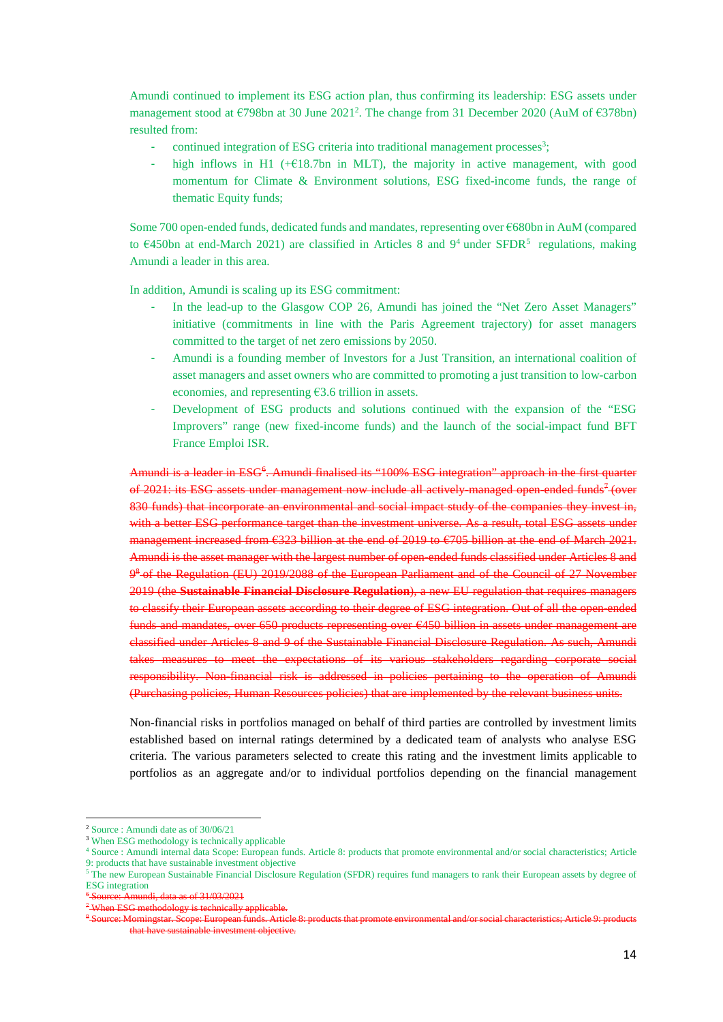[Amundi continued to implement its ESG action plan, thus confirming its leadership: ESG assets under](#page-13-0)  management stood at €798bn at 30 June 2021<sup>2</sup>. The change from 31 December 2020 (AuM of €378bn) resulted from:

- continued integration of ESG criteria into traditional management processes<sup>3</sup>;
- high inflows in H1 ( $+$ €18.7bn in MLT), the majority in active management, with good momentum for Climate & Environment solutions, ESG fixed-income funds, the range of thematic Equity funds;

Some 700 open-ended funds, dedicated funds and mandates, repres[ent](#page-13-2)ing over €68[0b](#page-13-3)n in AuM (compared to  $\epsilon$ 450bn at end-March 2021) are classified in Articles 8 and 9<sup>4</sup> under SFDR<sup>5</sup> regulations, making Amundi a leader in this area.

In addition, Amundi is scaling up its ESG commitment:

- In the lead-up to the Glasgow COP 26, Amundi has joined the "Net Zero Asset Managers" initiative (commitments in line with the Paris Agreement trajectory) for asset managers committed to the target of net zero emissions by 2050.
- Amundi is a founding member of Investors for a Just Transition, an international coalition of asset managers and asset owners who are committed to promoting a just transition to low-carbon economies, and representing  $63.6$  trillion in assets.
- Development of ESG products and solutions continued with the expansion of the "ESG Improvers" range (new fixed-income funds) and the launch of the social-impact fund BFT France Emploi ISR.

Amundi is a leader in ESG<sup>6</sup>[.](#page-13-4) Amundi finalised its "100% ESG integration" approach in the first [qu](#page-13-5)arter of 2021: its ESG assets under management now include all actively managed open ended funds<sup>7</sup> (over 830 funds) that incorporate an environmental and social impact study of the companies they invest in, with a better ESG performance target than the investment universe. As a result, total ESG assets under management increased from €323 billion at the end of 2019 to €705 billion at the end of March 2021. [Am](#page-13-6)undi is the asset manager with the largest number of open-ended funds classified under Articles 8 and 9<sup>8</sup> of the Regulation (EU) 2019/2088 of the European Parliament and of the Council of 27 November 2019 (the **Sustainable Financial Disclosure Regulation**), a new EU regulation that requires managers to classify their European assets according to their degree of ESG integration. Out of all the open-ended funds and mandates, over 650 products representing over €450 billion in assets under management are classified under Articles 8 and 9 of the Sustainable Financial Disclosure Regulation. As such, Amundi takes measures to meet the expectations of its various stakeholders regarding corporate social responsibility. Non-financial risk is addressed in policies pertaining to the operation of Amundi (Purchasing policies, Human Resources policies) that are implemented by the relevant business units.

Non-financial risks in portfolios managed on behalf of third parties are controlled by investment limits established based on internal ratings determined by a dedicated team of analysts who analyse ESG criteria. The various parameters selected to create this rating and the investment limits applicable to portfolios as an aggregate and/or to individual portfolios depending on the financial management

<span id="page-13-1"></span><span id="page-13-0"></span><sup>2</sup> Source : Amundi date as of 30/06/21

<span id="page-13-2"></span><sup>&</sup>lt;sup>3</sup> When ESG methodology is technically applicable

<sup>4</sup> Source : Amundi internal data Scope: European funds. Article 8: products that promote environmental and/or social characteristics; Article 9: products that have sustainable investment objective

<span id="page-13-3"></span><sup>&</sup>lt;sup>5</sup> The new European Sustainable Financial Disclosure Regulation (SFDR) requires fund managers to rank their European assets by degree of ESG integration

<span id="page-13-5"></span><span id="page-13-4"></span><sup>6</sup> Source: Amundi, data as of 31/03/2021

<span id="page-13-6"></span><sup>7</sup> When ESG methodology is technically applicable.

<sup>8</sup> Source: Morningstar. Scope: European funds. Article 8: products that promote environmental and/or social characteristics; Article 9: products that have sustainable investment objective.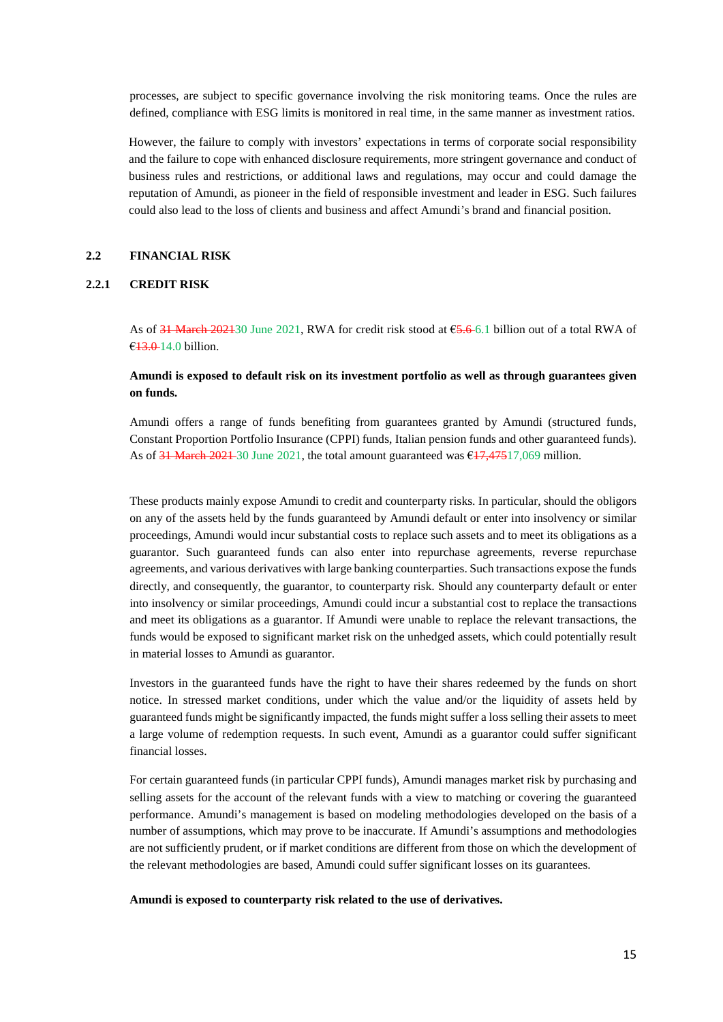processes, are subject to specific governance involving the risk monitoring teams. Once the rules are defined, compliance with ESG limits is monitored in real time, in the same manner as investment ratios.

However, the failure to comply with investors' expectations in terms of corporate social responsibility and the failure to cope with enhanced disclosure requirements, more stringent governance and conduct of business rules and restrictions, or additional laws and regulations, may occur and could damage the reputation of Amundi, as pioneer in the field of responsible investment and leader in ESG. Such failures could also lead to the loss of clients and business and affect Amundi's brand and financial position.

#### **2.2 FINANCIAL RISK**

#### **2.2.1 CREDIT RISK**

As of  $31$  March 202130 June 2021, RWA for credit risk stood at  $65.6$  6.1 billion out of a total RWA of €13.0 14.0 billion.

# **Amundi is exposed to default risk on its investment portfolio as well as through guarantees given on funds.**

Amundi offers a range of funds benefiting from guarantees granted by Amundi (structured funds, Constant Proportion Portfolio Insurance (CPPI) funds, Italian pension funds and other guaranteed funds). As of  $31$  March 2021 30 June 2021, the total amount guaranteed was  $617,47517,069$  million.

These products mainly expose Amundi to credit and counterparty risks. In particular, should the obligors on any of the assets held by the funds guaranteed by Amundi default or enter into insolvency or similar proceedings, Amundi would incur substantial costs to replace such assets and to meet its obligations as a guarantor. Such guaranteed funds can also enter into repurchase agreements, reverse repurchase agreements, and various derivatives with large banking counterparties. Such transactions expose the funds directly, and consequently, the guarantor, to counterparty risk. Should any counterparty default or enter into insolvency or similar proceedings, Amundi could incur a substantial cost to replace the transactions and meet its obligations as a guarantor. If Amundi were unable to replace the relevant transactions, the funds would be exposed to significant market risk on the unhedged assets, which could potentially result in material losses to Amundi as guarantor.

Investors in the guaranteed funds have the right to have their shares redeemed by the funds on short notice. In stressed market conditions, under which the value and/or the liquidity of assets held by guaranteed funds might be significantly impacted, the funds might suffer a loss selling their assets to meet a large volume of redemption requests. In such event, Amundi as a guarantor could suffer significant financial losses.

For certain guaranteed funds (in particular CPPI funds), Amundi manages market risk by purchasing and selling assets for the account of the relevant funds with a view to matching or covering the guaranteed performance. Amundi's management is based on modeling methodologies developed on the basis of a number of assumptions, which may prove to be inaccurate. If Amundi's assumptions and methodologies are not sufficiently prudent, or if market conditions are different from those on which the development of the relevant methodologies are based, Amundi could suffer significant losses on its guarantees.

**Amundi is exposed to counterparty risk related to the use of derivatives.**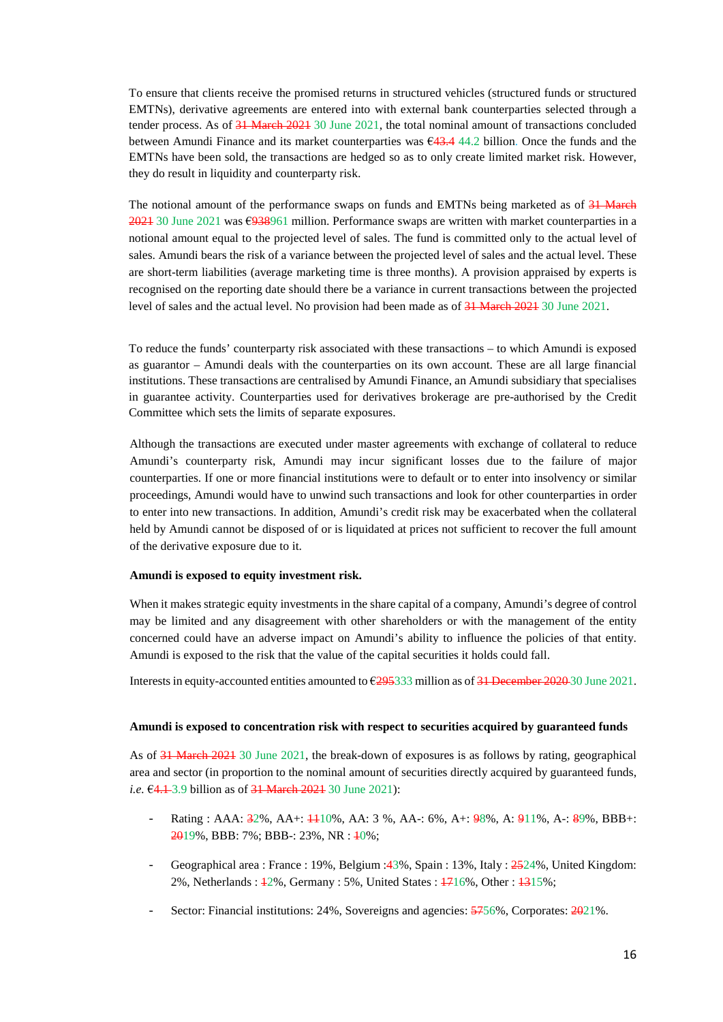To ensure that clients receive the promised returns in structured vehicles (structured funds or structured EMTNs), derivative agreements are entered into with external bank counterparties selected through a tender process. As of 31 March 2021 30 June 2021, the total nominal amount of transactions concluded between Amundi Finance and its market counterparties was €43.4 44.2 billion. Once the funds and the EMTNs have been sold, the transactions are hedged so as to only create limited market risk. However, they do result in liquidity and counterparty risk.

The notional amount of the performance swaps on funds and EMTNs being marketed as of 31 March 2021 30 June 2021 was €938961 million. Performance swaps are written with market counterparties in a notional amount equal to the projected level of sales. The fund is committed only to the actual level of sales. Amundi bears the risk of a variance between the projected level of sales and the actual level. These are short-term liabilities (average marketing time is three months). A provision appraised by experts is recognised on the reporting date should there be a variance in current transactions between the projected level of sales and the actual level. No provision had been made as of 31 March 2021 30 June 2021.

To reduce the funds' counterparty risk associated with these transactions – to which Amundi is exposed as guarantor – Amundi deals with the counterparties on its own account. These are all large financial institutions. These transactions are centralised by Amundi Finance, an Amundi subsidiary that specialises in guarantee activity. Counterparties used for derivatives brokerage are pre-authorised by the Credit Committee which sets the limits of separate exposures.

Although the transactions are executed under master agreements with exchange of collateral to reduce Amundi's counterparty risk, Amundi may incur significant losses due to the failure of major counterparties. If one or more financial institutions were to default or to enter into insolvency or similar proceedings, Amundi would have to unwind such transactions and look for other counterparties in order to enter into new transactions. In addition, Amundi's credit risk may be exacerbated when the collateral held by Amundi cannot be disposed of or is liquidated at prices not sufficient to recover the full amount of the derivative exposure due to it.

#### **Amundi is exposed to equity investment risk.**

When it makes strategic equity investments in the share capital of a company, Amundi's degree of control may be limited and any disagreement with other shareholders or with the management of the entity concerned could have an adverse impact on Amundi's ability to influence the policies of that entity. Amundi is exposed to the risk that the value of the capital securities it holds could fall.

Interests in equity-accounted entities amounted to €295333 million as of 31 December 2020 30 June 2021.

#### **Amundi is exposed to concentration risk with respect to securities acquired by guaranteed funds**

As of 31 March 2021 30 June 2021, the break-down of exposures is as follows by rating, geographical area and sector (in proportion to the nominal amount of securities directly acquired by guaranteed funds, *i.e.* €4.1–3.9 billion as of 31 March 2021 30 June 2021):

- Rating : AAA: 32%, AA+: 4410%, AA: 3 %, AA-: 6%, A+: 98%, A: 911%, A-: 89%, BBB+: 2019%, BBB: 7%; BBB-: 23%, NR : 10%;
- Geographical area : France : 19%, Belgium : 43%, Spain : 13%, Italy : 2524%, United Kingdom: 2%, Netherlands : 12%, Germany : 5%, United States : 1716%, Other : 1315%;
- Sector: Financial institutions: 24%, Sovereigns and agencies:  $\frac{5756}{6}$ . Corporates:  $\frac{2021}{6}$ .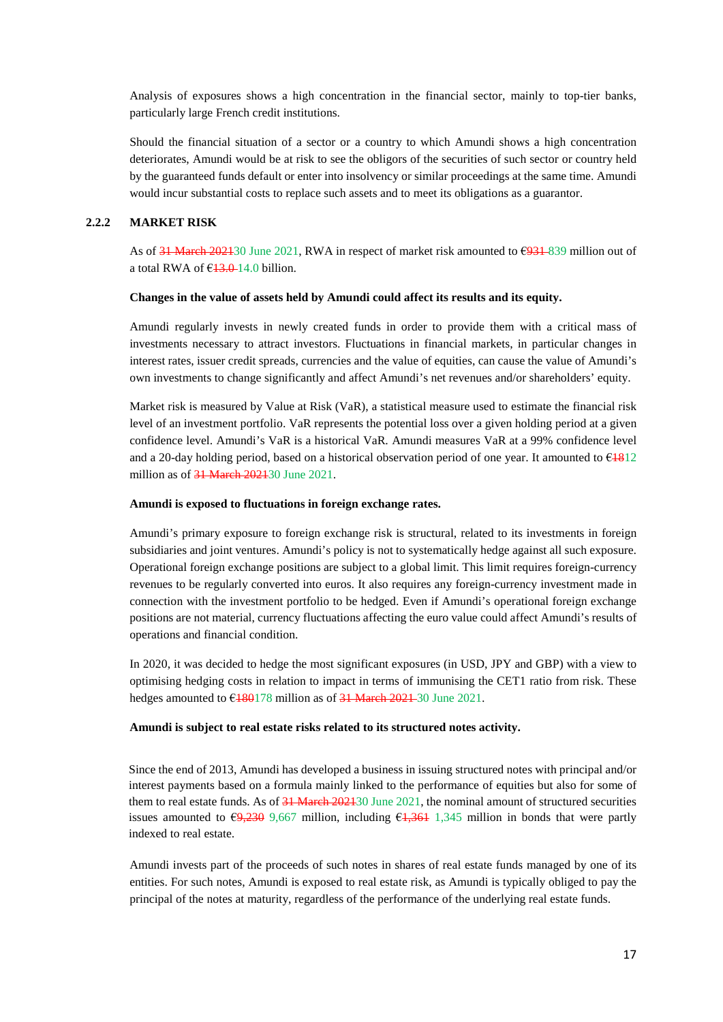Analysis of exposures shows a high concentration in the financial sector, mainly to top-tier banks, particularly large French credit institutions.

Should the financial situation of a sector or a country to which Amundi shows a high concentration deteriorates, Amundi would be at risk to see the obligors of the securities of such sector or country held by the guaranteed funds default or enter into insolvency or similar proceedings at the same time. Amundi would incur substantial costs to replace such assets and to meet its obligations as a guarantor.

#### **2.2.2 MARKET RISK**

As of  $31$  March 202130 June 2021, RWA in respect of market risk amounted to  $\epsilon$ 931–839 million out of a total RWA of  $£3.0$ -14.0 billion.

#### **Changes in the value of assets held by Amundi could affect its results and its equity.**

Amundi regularly invests in newly created funds in order to provide them with a critical mass of investments necessary to attract investors. Fluctuations in financial markets, in particular changes in interest rates, issuer credit spreads, currencies and the value of equities, can cause the value of Amundi's own investments to change significantly and affect Amundi's net revenues and/or shareholders' equity.

Market risk is measured by Value at Risk (VaR), a statistical measure used to estimate the financial risk level of an investment portfolio. VaR represents the potential loss over a given holding period at a given confidence level. Amundi's VaR is a historical VaR. Amundi measures VaR at a 99% confidence level and a 20-day holding period, based on a historical observation period of one year. It amounted to  $\epsilon$ 1812 million as of 31 March 202130 June 2021.

#### **Amundi is exposed to fluctuations in foreign exchange rates.**

Amundi's primary exposure to foreign exchange risk is structural, related to its investments in foreign subsidiaries and joint ventures. Amundi's policy is not to systematically hedge against all such exposure. Operational foreign exchange positions are subject to a global limit. This limit requires foreign-currency revenues to be regularly converted into euros. It also requires any foreign-currency investment made in connection with the investment portfolio to be hedged. Even if Amundi's operational foreign exchange positions are not material, currency fluctuations affecting the euro value could affect Amundi's results of operations and financial condition.

In 2020, it was decided to hedge the most significant exposures (in USD, JPY and GBP) with a view to optimising hedging costs in relation to impact in terms of immunising the CET1 ratio from risk. These hedges amounted to  $\epsilon$ 180178 million as of 31 March 2021-30 June 2021.

#### **Amundi is subject to real estate risks related to its structured notes activity.**

Since the end of 2013, Amundi has developed a business in issuing structured notes with principal and/or interest payments based on a formula mainly linked to the performance of equities but also for some of them to real estate funds. As of 31 March 202130 June 2021, the nominal amount of structured securities issues amounted to  $\sqrt{69,230}$  9,667 million, including  $\sqrt{61,361}$  1,345 million in bonds that were partly indexed to real estate.

Amundi invests part of the proceeds of such notes in shares of real estate funds managed by one of its entities. For such notes, Amundi is exposed to real estate risk, as Amundi is typically obliged to pay the principal of the notes at maturity, regardless of the performance of the underlying real estate funds.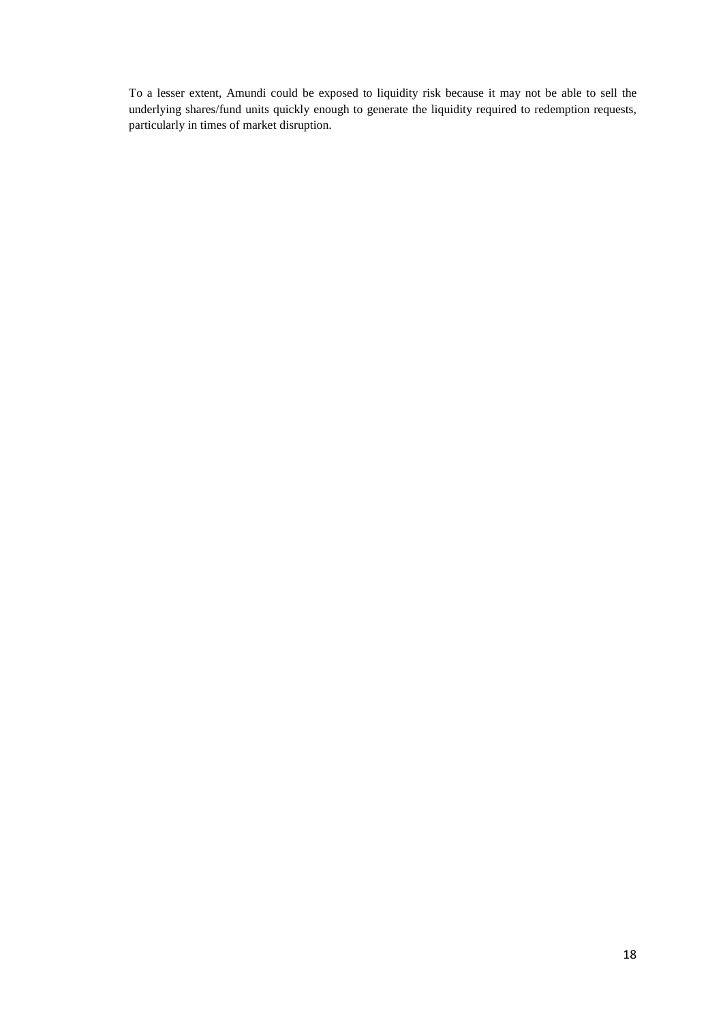To a lesser extent, Amundi could be exposed to liquidity risk because it may not be able to sell the underlying shares/fund units quickly enough to generate the liquidity required to redemption requests, particularly in times of market disruption.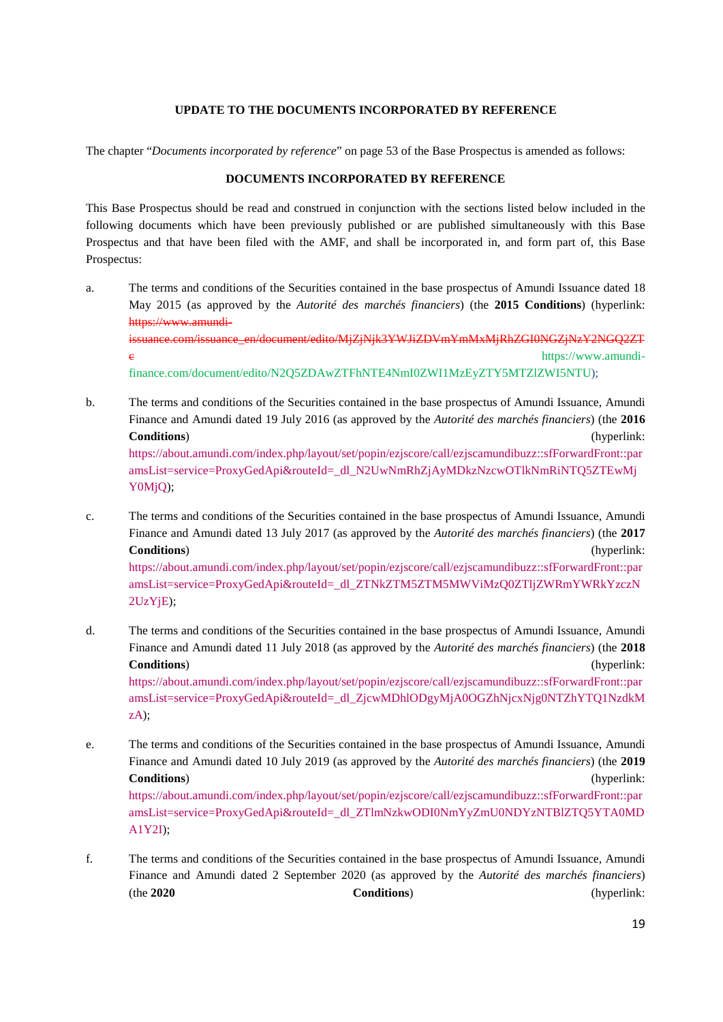#### **UPDATE TO THE DOCUMENTS INCORPORATED BY REFERENCE**

<span id="page-18-0"></span>The chapter "*Documents incorporated by reference*" on page 53 of the Base Prospectus is amended as follows:

# **DOCUMENTS INCORPORATED BY REFERENCE**

This Base Prospectus should be read and construed in conjunction with the sections listed below included in the following documents which have been previously published or are published simultaneously with this Base Prospectus and that have been filed with the AMF, and shall be incorporated in, and form part of, this Base Prospectus:

- a. The terms and conditions of the Securities contained in the base prospectus of Amundi Issuance dated 18 [May 2015 \(as approved by the](https://www.amundi-issuance.com/issuance_en/document/edito/MjZjNjk3YWJiZDVmYmMxMjRhZGI0NGZjNzY2NGQ2ZTc) *Autorité des marchés financiers*) (the **2015 Conditions**) (hyperlink: [https://www.amundi](https://www.amundi-issuance.com/issuance_en/document/edito/MjZjNjk3YWJiZDVmYmMxMjRhZGI0NGZjNzY2NGQ2ZTc)[issuance.com/issuance\\_en/document/edito/MjZjNjk3YWJiZDVmYmMxMjRhZGI0NGZjNzY2NGQ2ZT](https://www.amundi-finance.com/document/edito/N2Q5ZDAwZTFhNTE4NmI0ZWI1MzEyZTY5MTZlZWI5NTU) e https://www.amundi[finance.com/document/edito/N2Q5ZDAwZTFhNTE4NmI0ZWI1MzEyZTY5MTZlZWI5NTU\);](https://www.amundi-finance.com/document/edito/N2Q5ZDAwZTFhNTE4NmI0ZWI1MzEyZTY5MTZlZWI5NTU)
- b. The terms and conditions of the Securities contained in the base prospectus of Amundi Issuance, Amundi Finance and Amundi dated 19 July 2016 (as approved by the *Autorité des marchés financiers*) (the **2016 Conditions**[\) \(hyperlink:](https://about.amundi.com/index.php/layout/set/popin/ezjscore/call/ezjscamundibuzz::sfForwardFront::paramsList=service=ProxyGedApi&routeId=_dl_N2UwNmRhZjAyMDkzNzcwOTlkNmRiNTQ5ZTEwMjY0MjQ)  [https://about.amundi.com/index.php/layout/set/popin/ezjscore/call/ezjscamundibuzz::sfForwardFront::par](https://about.amundi.com/index.php/layout/set/popin/ezjscore/call/ezjscamundibuzz::sfForwardFront::paramsList=service=ProxyGedApi&routeId=_dl_N2UwNmRhZjAyMDkzNzcwOTlkNmRiNTQ5ZTEwMjY0MjQ) amsList=service=ProxyGedApi&routeId=\_dl\_N2UwNmRhZjAyMDkzNzcwOTlkNmRiNTQ5ZTEwMj [Y0MjQ\);](https://about.amundi.com/index.php/layout/set/popin/ezjscore/call/ezjscamundibuzz::sfForwardFront::paramsList=service=ProxyGedApi&routeId=_dl_N2UwNmRhZjAyMDkzNzcwOTlkNmRiNTQ5ZTEwMjY0MjQ)
- c. The terms and conditions of the Securities contained in the base prospectus of Amundi Issuance, Amundi Finance and Amundi dated 13 July 2017 (as approved by the *Autorité des marchés financiers*) (the **2017 [Conditions](https://about.amundi.com/index.php/layout/set/popin/ezjscore/call/ezjscamundibuzz::sfForwardFront::paramsList=service=ProxyGedApi&routeId=_dl_ZTNkZTM5ZTM5MWViMzQ0ZTljZWRmYWRkYzczN2UzYjE)**[\) \(hyperlink:](https://about.amundi.com/index.php/layout/set/popin/ezjscore/call/ezjscamundibuzz::sfForwardFront::paramsList=service=ProxyGedApi&routeId=_dl_ZTNkZTM5ZTM5MWViMzQ0ZTljZWRmYWRkYzczN2UzYjE)  [https://about.amundi.com/index.php/layout/set/popin/ezjscore/call/ezjscamundibuzz::sfForwardFront::par](https://about.amundi.com/index.php/layout/set/popin/ezjscore/call/ezjscamundibuzz::sfForwardFront::paramsList=service=ProxyGedApi&routeId=_dl_ZTNkZTM5ZTM5MWViMzQ0ZTljZWRmYWRkYzczN2UzYjE)

[amsList=se](https://about.amundi.com/index.php/layout/set/popin/ezjscore/call/ezjscamundibuzz::sfForwardFront::paramsList=service=ProxyGedApi&routeId=_dl_ZTNkZTM5ZTM5MWViMzQ0ZTljZWRmYWRkYzczN2UzYjE)rvice=ProxyGedApi&routeId=\_dl\_ZTNkZTM5ZTM5MWViMzQ0ZTljZWRmYWRkYzczN 2UzYjE);

- d. The terms and conditions of the Securities contained in the base prospectus of Amundi Issuance, Amundi Finance and Amundi dated 11 July 2018 (as approved by the *Autorité des marchés financiers*) (the **2018 Conditions**[\) \(hyperlink:](https://about.amundi.com/index.php/layout/set/popin/ezjscore/call/ezjscamundibuzz::sfForwardFront::paramsList=service=ProxyGedApi&routeId=_dl_ZjcwMDhlODgyMjA0OGZhNjcxNjg0NTZhYTQ1NzdkMzA)  [https://about.amundi.com/index.php/layout/set/popin/ezjscore/call/ezjscamundibuzz::sfForwardFront::par](https://about.amundi.com/index.php/layout/set/popin/ezjscore/call/ezjscamundibuzz::sfForwardFront::paramsList=service=ProxyGedApi&routeId=_dl_ZjcwMDhlODgyMjA0OGZhNjcxNjg0NTZhYTQ1NzdkMzA) [amsLi](https://about.amundi.com/index.php/layout/set/popin/ezjscore/call/ezjscamundibuzz::sfForwardFront::paramsList=service=ProxyGedApi&routeId=_dl_ZjcwMDhlODgyMjA0OGZhNjcxNjg0NTZhYTQ1NzdkMzA)st=service=ProxyGedApi&routeId=\_dl\_ZjcwMDhlODgyMjA0OGZhNjcxNjg0NTZhYTQ1NzdkM zA);
- e. The terms and conditions of the Securities contained in the base prospectus of Amundi Issuance, Amundi Finance and Amundi dated 10 July 2019 (as approved by the *Autorité des marchés financiers*) (the **2019 [Conditions](https://about.amundi.com/index.php/layout/set/popin/ezjscore/call/ezjscamundibuzz::sfForwardFront::paramsList=service=ProxyGedApi&routeId=_dl_ZTlmNzkwODI0NmYyZmU0NDYzNTBlZTQ5YTA0MDA1Y2I)**[\) \(hyperlink:](https://about.amundi.com/index.php/layout/set/popin/ezjscore/call/ezjscamundibuzz::sfForwardFront::paramsList=service=ProxyGedApi&routeId=_dl_ZTlmNzkwODI0NmYyZmU0NDYzNTBlZTQ5YTA0MDA1Y2I)

[https://about.amundi.com/index.php/layout/set/popin/ezjscore/call/ezjscamundibuzz::sfForwardFront::par](https://about.amundi.com/index.php/layout/set/popin/ezjscore/call/ezjscamundibuzz::sfForwardFront::paramsList=service=ProxyGedApi&routeId=_dl_ZTlmNzkwODI0NmYyZmU0NDYzNTBlZTQ5YTA0MDA1Y2I) [amsList=service=ProxyGedApi&routeId=\\_dl\\_ZTlmNzkwODI0NmYyZmU0NDYzNTBlZTQ5YTA0MD](https://about.amundi.com/index.php/layout/set/popin/ezjscore/call/ezjscamundibuzz::sfForwardFront::paramsList=service=ProxyGedApi&routeId=_dl_ZTlmNzkwODI0NmYyZmU0NDYzNTBlZTQ5YTA0MDA1Y2I) [A1Y2I\);](https://about.amundi.com/index.php/layout/set/popin/ezjscore/call/ezjscamundibuzz::sfForwardFront::paramsList=service=ProxyGedApi&routeId=_dl_ZTlmNzkwODI0NmYyZmU0NDYzNTBlZTQ5YTA0MDA1Y2I) 

f. The terms and conditions of the Securities contained in the base prospectus of Amundi Issuance, Amundi Finance and Amundi dated 2 September 2020 (as approved by the *Autorité des marchés financiers*) (the **2020 Conditions**) (hyperlink: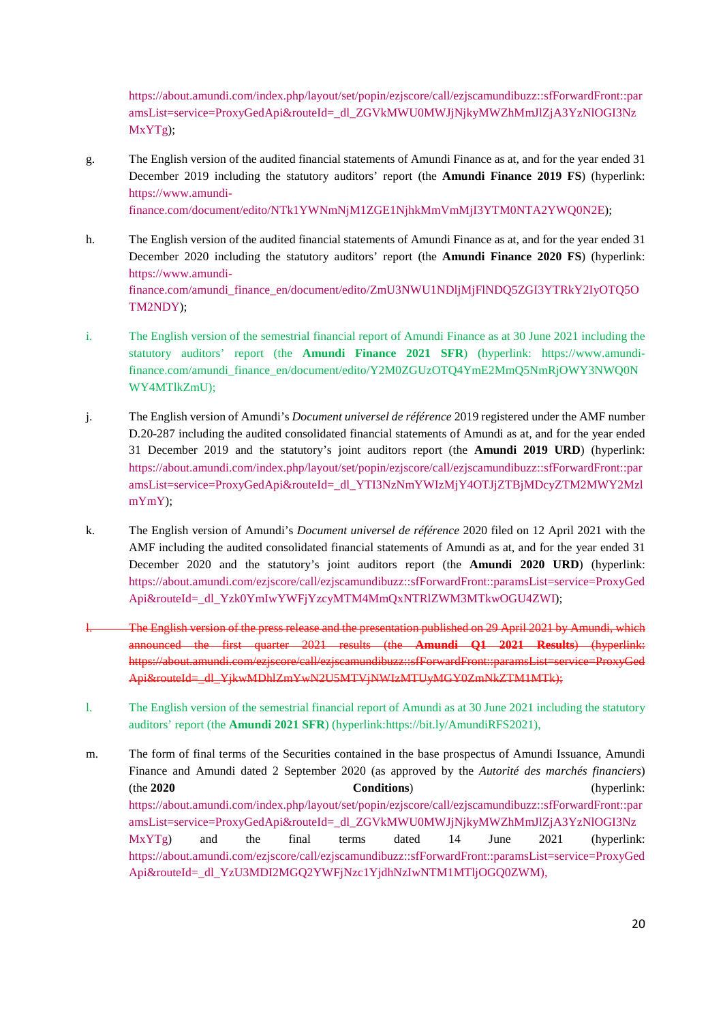[https://about.amundi.com/index.php/layout/set/popin/ezjscore/call/ezjscamundibuzz::sfForwardFront::par](https://about.amundi.com/index.php/layout/set/popin/ezjscore/call/ezjscamundibuzz::sfForwardFront::paramsList=service=ProxyGedApi&routeId=_dl_ZGVkMWU0MWJjNjkyMWZhMmJlZjA3YzNlOGI3NzMxYTg) amsList=service=ProxyGedApi&routeId=\_dl\_ZGVkMWU0MWJjNjkyMWZhMmJlZjA3YzNlOGI3Nz [MxYTg\);](https://about.amundi.com/index.php/layout/set/popin/ezjscore/call/ezjscamundibuzz::sfForwardFront::paramsList=service=ProxyGedApi&routeId=_dl_ZGVkMWU0MWJjNjkyMWZhMmJlZjA3YzNlOGI3NzMxYTg)

g. The English version of the audited financial statements of Amundi Finance as at, and for the year ended 31 [December 2019 includ](https://www.amundi-finance.com/document/edito/NTk1YWNmNjM1ZGE1NjhkMmVmMjI3YTM0NTA2YWQ0N2E)ing the statutory auditors' report (the **Amundi Finance 2019 FS**) (hyperlink: [https://www.amundi-](https://www.amundi-finance.com/document/edito/NTk1YWNmNjM1ZGE1NjhkMmVmMjI3YTM0NTA2YWQ0N2E)

[finance.com/document/edito/NTk1YWNmNjM1ZGE1NjhkMmVmMjI3YTM0NTA2YWQ0N2E\);](https://www.amundi-finance.com/document/edito/NTk1YWNmNjM1ZGE1NjhkMmVmMjI3YTM0NTA2YWQ0N2E) 

- h. The English version of the audited financial statements of Amundi Finance as at, and for the year ended 31 [December 2020 including the statutory auditors' report \(the](https://www.amundi-finance.com/amundi_finance_en/document/edito/ZmU3NWU1NDljMjFlNDQ5ZGI3YTRkY2IyOTQ5OTM2NDY) **Amundi Finance 2020 FS**) (hyperlink: [https://www.amundi](https://www.amundi-finance.com/amundi_finance_en/document/edito/ZmU3NWU1NDljMjFlNDQ5ZGI3YTRkY2IyOTQ5OTM2NDY)finance.com/amundi\_finance\_en/document/edito/ZmU3NWU1NDljMjFlNDQ5ZGI3YTRkY2IyOTQ5O [TM2NDY\);](https://www.amundi-finance.com/amundi_finance_en/document/edito/ZmU3NWU1NDljMjFlNDQ5ZGI3YTRkY2IyOTQ5OTM2NDY)
- i. [The English version of the semestrial financial report of Amundi Finance as at 30 June 2021 including the](https://www.amundi-finance.com/amundi_finance_en/document/edito/Y2M0ZGUzOTQ4YmE2MmQ5NmRjOWY3NWQ0NWY4MTlkZmU)  [statutory auditors' report \(the](https://www.amundi-finance.com/amundi_finance_en/document/edito/Y2M0ZGUzOTQ4YmE2MmQ5NmRjOWY3NWQ0NWY4MTlkZmU) **[Amundi Finance 2021 SFR](https://www.amundi-finance.com/amundi_finance_en/document/edito/Y2M0ZGUzOTQ4YmE2MmQ5NmRjOWY3NWQ0NWY4MTlkZmU)**[\) \(hyperlink: https://www.amundi](https://www.amundi-finance.com/amundi_finance_en/document/edito/Y2M0ZGUzOTQ4YmE2MmQ5NmRjOWY3NWQ0NWY4MTlkZmU)finance.com/amundi\_finance\_en/document/edito/Y2M0ZGUzOTQ4YmE2MmQ5NmRjOWY3NWQ0N [WY4MTlkZmU\);](https://www.amundi-finance.com/amundi_finance_en/document/edito/Y2M0ZGUzOTQ4YmE2MmQ5NmRjOWY3NWQ0NWY4MTlkZmU)
- j. The English version of Amundi's *Document universel de référence* 2019 registered under the AMF number D.20-287 including the audited consolidated financial statements of Amundi as at, and for the year ended [31 December 2019 and the statutory's joint auditors report \(the](https://about.amundi.com/index.php/layout/set/popin/ezjscore/call/ezjscamundibuzz::sfForwardFront::paramsList=service=ProxyGedApi&routeId=_dl_YTI3NzNmYWIzMjY4OTJjZTBjMDcyZTM2MWY2MzlmYmY) **[Amundi 2019 URD](https://about.amundi.com/index.php/layout/set/popin/ezjscore/call/ezjscamundibuzz::sfForwardFront::paramsList=service=ProxyGedApi&routeId=_dl_YTI3NzNmYWIzMjY4OTJjZTBjMDcyZTM2MWY2MzlmYmY)**[\) \(hyperlink:](https://about.amundi.com/index.php/layout/set/popin/ezjscore/call/ezjscamundibuzz::sfForwardFront::paramsList=service=ProxyGedApi&routeId=_dl_YTI3NzNmYWIzMjY4OTJjZTBjMDcyZTM2MWY2MzlmYmY)  [https://about.amundi.com/index.php/layout/set/popin/ezjscore/call/ezjscamundibuzz::sfForwardFront::par](https://about.amundi.com/index.php/layout/set/popin/ezjscore/call/ezjscamundibuzz::sfForwardFront::paramsList=service=ProxyGedApi&routeId=_dl_YTI3NzNmYWIzMjY4OTJjZTBjMDcyZTM2MWY2MzlmYmY) amsList=service=ProxyGedApi&routeId=\_dl\_YTI3NzNmYWIzMjY4OTJjZTBjMDcyZTM2MWY2Mzl [mYmY\);](https://about.amundi.com/index.php/layout/set/popin/ezjscore/call/ezjscamundibuzz::sfForwardFront::paramsList=service=ProxyGedApi&routeId=_dl_YTI3NzNmYWIzMjY4OTJjZTBjMDcyZTM2MWY2MzlmYmY)
- k. The English version of Amundi's *Document universel de référence* 2020 filed on 12 April 2021 with the AMF including the audited consolidated financial statements of Amundi as at, and for the year ended 31 [December 2020 and the statutory's joint auditors report \(the](https://about.amundi.com/ezjscore/call/ezjscamundibuzz::sfForwardFront::paramsList=service=ProxyGedApi&routeId=_dl_Yzk0YmIwYWFjYzcyMTM4MmQxNTRlZWM3MTkwOGU4ZWI) **[Amundi 2020 URD](https://about.amundi.com/ezjscore/call/ezjscamundibuzz::sfForwardFront::paramsList=service=ProxyGedApi&routeId=_dl_Yzk0YmIwYWFjYzcyMTM4MmQxNTRlZWM3MTkwOGU4ZWI)**[\) \(hyperlink:](https://about.amundi.com/ezjscore/call/ezjscamundibuzz::sfForwardFront::paramsList=service=ProxyGedApi&routeId=_dl_Yzk0YmIwYWFjYzcyMTM4MmQxNTRlZWM3MTkwOGU4ZWI)  [https://about.amundi.com/ezjscore/call/ezjscamundibuzz::sfForwardFront::paramsList=service=ProxyGed](https://about.amundi.com/ezjscore/call/ezjscamundibuzz::sfForwardFront::paramsList=service=ProxyGedApi&routeId=_dl_Yzk0YmIwYWFjYzcyMTM4MmQxNTRlZWM3MTkwOGU4ZWI) [Api&routeId=\\_dl\\_Yzk0YmIwYWFjYzcyMTM4MmQxNTRlZWM3MTkwOGU4ZWI\);](https://about.amundi.com/ezjscore/call/ezjscamundibuzz::sfForwardFront::paramsList=service=ProxyGedApi&routeId=_dl_Yzk0YmIwYWFjYzcyMTM4MmQxNTRlZWM3MTkwOGU4ZWI)
- The English version of the press release and the presentation published on 29 April 2021 by Amundi, which [announced the first quarter 2021 results](https://about.amundi.com/ezjscore/call/ezjscamundibuzz::sfForwardFront::paramsList=service=ProxyGedApi&routeId=_dl_YjkwMDhlZmYwN2U5MTVjNWIzMTUyMGY0ZmNkZTM1MTk) [\(the](https://about.amundi.com/ezjscore/call/ezjscamundibuzz::sfForwardFront::paramsList=service=ProxyGedApi&routeId=_dl_YjkwMDhlZmYwN2U5MTVjNWIzMTUyMGY0ZmNkZTM1MTk) **[Amundi Q1 2021 Results](https://about.amundi.com/ezjscore/call/ezjscamundibuzz::sfForwardFront::paramsList=service=ProxyGedApi&routeId=_dl_YjkwMDhlZmYwN2U5MTVjNWIzMTUyMGY0ZmNkZTM1MTk)**[\) \(hyperlink:](https://about.amundi.com/ezjscore/call/ezjscamundibuzz::sfForwardFront::paramsList=service=ProxyGedApi&routeId=_dl_YjkwMDhlZmYwN2U5MTVjNWIzMTUyMGY0ZmNkZTM1MTk)  https://about.amundi.com/ezjscore/call/ezjscamundibuzz::sfForwardFront::paramsList=service=ProxyGed [Api&routeId=\\_dl\\_YjkwMDhlZmYwN2U5MTVjNWIzMTUyMGY0ZmNkZTM1MTk\);](https://about.amundi.com/ezjscore/call/ezjscamundibuzz::sfForwardFront::paramsList=service=ProxyGedApi&routeId=_dl_YjkwMDhlZmYwN2U5MTVjNWIzMTUyMGY0ZmNkZTM1MTk)
- l. The English version of the semestrial financial report of Amundi as at 30 June 2021 including the statutory auditors' report (the **Amundi 2021 SFR**) (hyperlink:[https://bit.ly/AmundiRFS2021\)](https://bit.ly/AmundiRFS2021),
- m. The form of final terms of the Securities contained in the base prospectus of Amundi Issuance, Amundi Finance and Amundi dated 2 September 2020 (as approved by the *Autorité des marchés financiers*) (the **[2020 Conditions](https://about.amundi.com/index.php/layout/set/popin/ezjscore/call/ezjscamundibuzz::sfForwardFront::paramsList=service=ProxyGedApi&routeId=_dl_ZGVkMWU0MWJjNjkyMWZhMmJlZjA3YzNlOGI3NzMxYTg)**) (hyperlink: [https://about.amundi.com/index.php/layout/set/popin/ezjscore/call/ezjscamundibuzz::sfForwardFront::par](https://about.amundi.com/index.php/layout/set/popin/ezjscore/call/ezjscamundibuzz::sfForwardFront::paramsList=service=ProxyGedApi&routeId=_dl_ZGVkMWU0MWJjNjkyMWZhMmJlZjA3YzNlOGI3NzMxYTg) [amsList=service=ProxyGedApi&routeId=\\_dl\\_ZGVkMWU0MWJjNjkyMWZhMmJlZjA3YzNlOGI3Nz](https://about.amundi.com/index.php/layout/set/popin/ezjscore/call/ezjscamundibuzz::sfForwardFront::paramsList=service=ProxyGedApi&routeId=_dl_ZGVkMWU0MWJjNjkyMWZhMmJlZjA3YzNlOGI3NzMxYTg) [MxYTg\) and the final terms dated 14 June 2021 \(hyperlink:](https://about.amundi.com/ezjscore/call/ezjscamundibuzz::sfForwardFront::paramsList=service=ProxyGedApi&routeId=_dl_YzU3MDI2MGQ2YWFjNzc1YjdhNzIwNTM1MTljOGQ0ZWM)  https://about.amundi.com/ezjscore/call/ezjscamundibuzz::sfForwardFront::paramsList=service=ProxyGed Api&routeId=\_dl\_YzU3MDI2MGO2YWFiNzc1YidhNzIwNTM1MTljOGO0ZWM),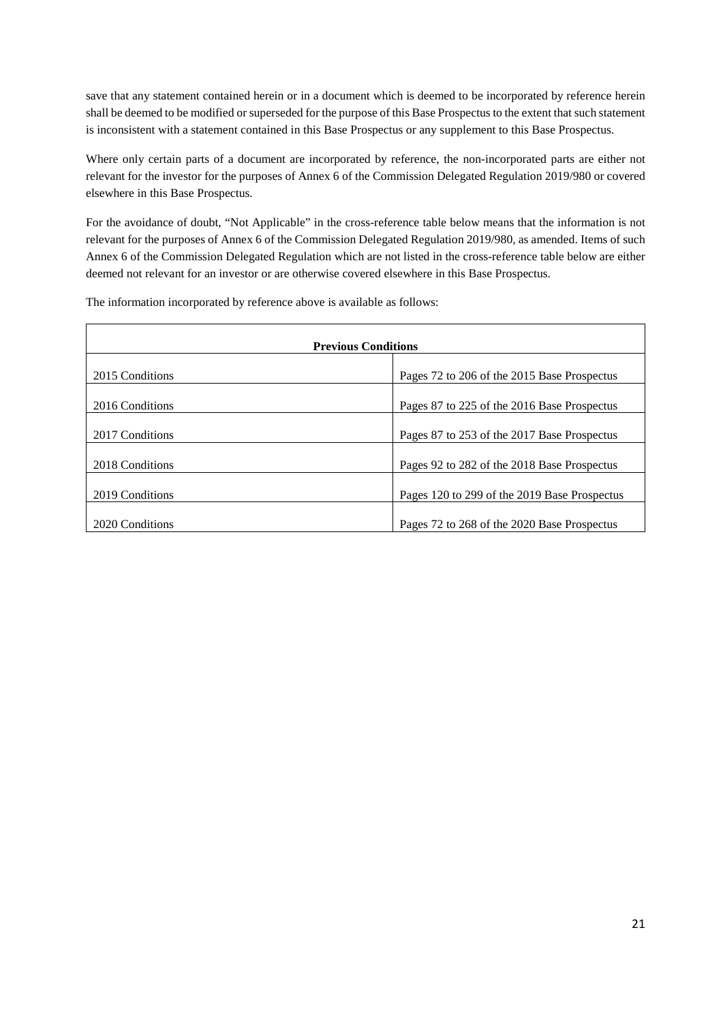save that any statement contained herein or in a document which is deemed to be incorporated by reference herein shall be deemed to be modified or superseded for the purpose of this Base Prospectus to the extent that such statement is inconsistent with a statement contained in this Base Prospectus or any supplement to this Base Prospectus.

Where only certain parts of a document are incorporated by reference, the non-incorporated parts are either not relevant for the investor for the purposes of Annex 6 of the Commission Delegated Regulation 2019/980 or covered elsewhere in this Base Prospectus.

For the avoidance of doubt, "Not Applicable" in the cross-reference table below means that the information is not relevant for the purposes of Annex 6 of the Commission Delegated Regulation 2019/980, as amended. Items of such Annex 6 of the Commission Delegated Regulation which are not listed in the cross-reference table below are either deemed not relevant for an investor or are otherwise covered elsewhere in this Base Prospectus.

The information incorporated by reference above is available as follows:

| <b>Previous Conditions</b> |                                              |
|----------------------------|----------------------------------------------|
| 2015 Conditions            | Pages 72 to 206 of the 2015 Base Prospectus  |
| 2016 Conditions            | Pages 87 to 225 of the 2016 Base Prospectus  |
| 2017 Conditions            | Pages 87 to 253 of the 2017 Base Prospectus  |
| 2018 Conditions            | Pages 92 to 282 of the 2018 Base Prospectus  |
| 2019 Conditions            | Pages 120 to 299 of the 2019 Base Prospectus |
| 2020 Conditions            | Pages 72 to 268 of the 2020 Base Prospectus  |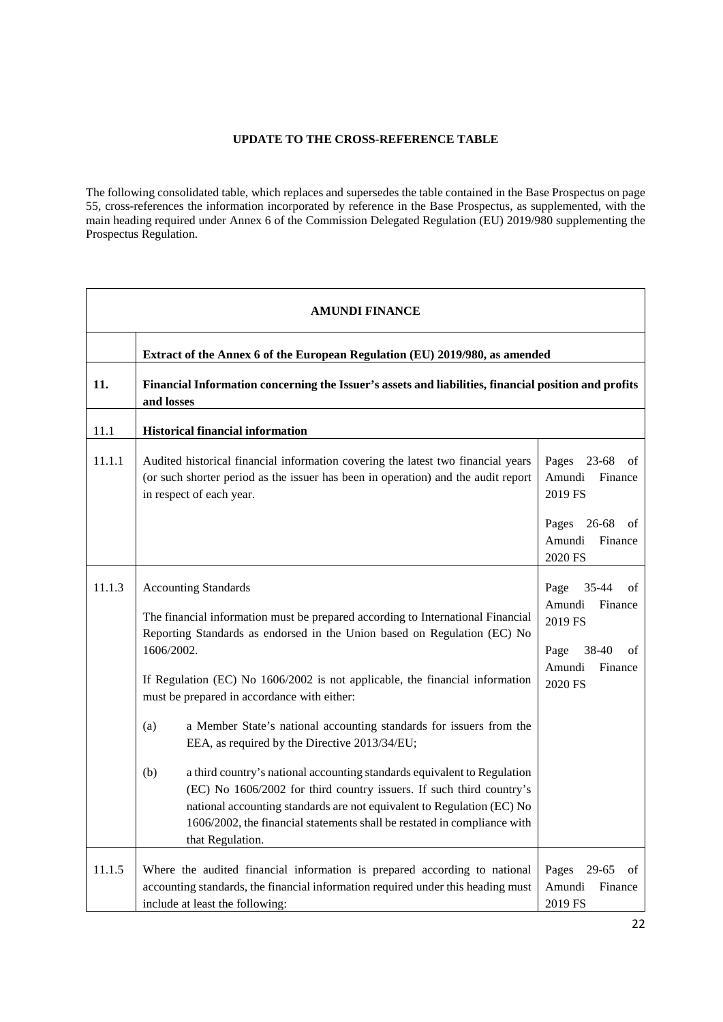### **UPDATE TO THE CROSS-REFERENCE TABLE**

<span id="page-21-0"></span>The following consolidated table, which replaces and supersedes the table contained in the Base Prospectus on page 55, cross-references the information incorporated by reference in the Base Prospectus, as supplemented, with the main heading required under Annex 6 of the Commission Delegated Regulation (EU) 2019/980 supplementing the Prospectus Regulation.

| <b>AMUNDI FINANCE</b> |                                                                                                                                                                                                                                                                                                                                                                                                                                                                                                                                                                                                                                                                                                                                                                                                             |                                                                                                                       |
|-----------------------|-------------------------------------------------------------------------------------------------------------------------------------------------------------------------------------------------------------------------------------------------------------------------------------------------------------------------------------------------------------------------------------------------------------------------------------------------------------------------------------------------------------------------------------------------------------------------------------------------------------------------------------------------------------------------------------------------------------------------------------------------------------------------------------------------------------|-----------------------------------------------------------------------------------------------------------------------|
|                       | Extract of the Annex 6 of the European Regulation (EU) 2019/980, as amended                                                                                                                                                                                                                                                                                                                                                                                                                                                                                                                                                                                                                                                                                                                                 |                                                                                                                       |
| 11.                   | Financial Information concerning the Issuer's assets and liabilities, financial position and profits<br>and losses                                                                                                                                                                                                                                                                                                                                                                                                                                                                                                                                                                                                                                                                                          |                                                                                                                       |
| 11.1                  | <b>Historical financial information</b>                                                                                                                                                                                                                                                                                                                                                                                                                                                                                                                                                                                                                                                                                                                                                                     |                                                                                                                       |
| 11.1.1                | Audited historical financial information covering the latest two financial years<br>(or such shorter period as the issuer has been in operation) and the audit report<br>in respect of each year.                                                                                                                                                                                                                                                                                                                                                                                                                                                                                                                                                                                                           | Pages<br>23-68<br>οf<br>Amundi<br>Finance<br>2019 FS<br>Pages 26-68<br>of<br>Amundi<br>Finance                        |
| 11.1.3                | <b>Accounting Standards</b><br>The financial information must be prepared according to International Financial<br>Reporting Standards as endorsed in the Union based on Regulation (EC) No<br>1606/2002.<br>If Regulation (EC) No 1606/2002 is not applicable, the financial information<br>must be prepared in accordance with either:<br>a Member State's national accounting standards for issuers from the<br>(a)<br>EEA, as required by the Directive 2013/34/EU;<br>(b)<br>a third country's national accounting standards equivalent to Regulation<br>(EC) No 1606/2002 for third country issuers. If such third country's<br>national accounting standards are not equivalent to Regulation (EC) No<br>1606/2002, the financial statements shall be restated in compliance with<br>that Regulation. | 2020 FS<br>35-44<br>Page<br>of<br>Amundi<br>Finance<br>2019 FS<br>Page<br>38-40<br>of<br>Amundi<br>Finance<br>2020 FS |
| 11.1.5                | Where the audited financial information is prepared according to national<br>accounting standards, the financial information required under this heading must<br>include at least the following:                                                                                                                                                                                                                                                                                                                                                                                                                                                                                                                                                                                                            | 29-65<br>Pages<br>of<br>Amundi<br>Finance<br>2019 FS                                                                  |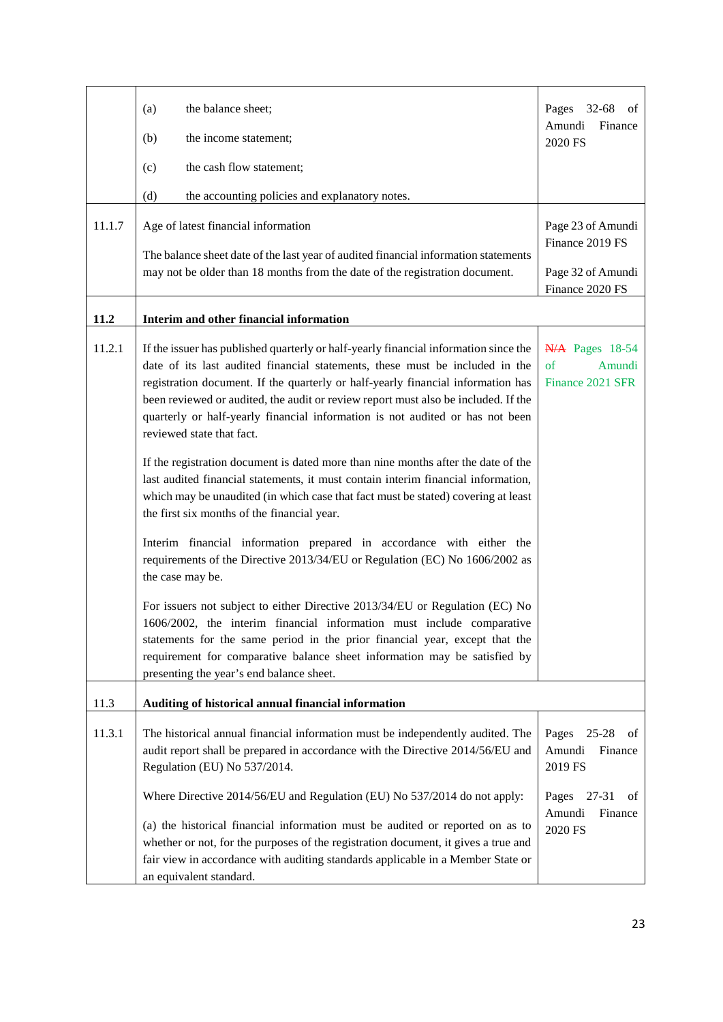|        | the balance sheet;<br>(a)<br>(b)<br>the income statement;                                                                                                                                                                                                                                                                                                                                                                                                                                                                                                                                                                                                                                                                                                                                                                                                                                                                                                                                                                                                                                                                                                                                                                                                                                                              | $32 - 68$<br>Pages<br>οf<br>Amundi<br>Finance<br>2020 FS                         |
|--------|------------------------------------------------------------------------------------------------------------------------------------------------------------------------------------------------------------------------------------------------------------------------------------------------------------------------------------------------------------------------------------------------------------------------------------------------------------------------------------------------------------------------------------------------------------------------------------------------------------------------------------------------------------------------------------------------------------------------------------------------------------------------------------------------------------------------------------------------------------------------------------------------------------------------------------------------------------------------------------------------------------------------------------------------------------------------------------------------------------------------------------------------------------------------------------------------------------------------------------------------------------------------------------------------------------------------|----------------------------------------------------------------------------------|
|        | (c)<br>the cash flow statement;                                                                                                                                                                                                                                                                                                                                                                                                                                                                                                                                                                                                                                                                                                                                                                                                                                                                                                                                                                                                                                                                                                                                                                                                                                                                                        |                                                                                  |
|        | (d)<br>the accounting policies and explanatory notes.                                                                                                                                                                                                                                                                                                                                                                                                                                                                                                                                                                                                                                                                                                                                                                                                                                                                                                                                                                                                                                                                                                                                                                                                                                                                  |                                                                                  |
| 11.1.7 | Age of latest financial information                                                                                                                                                                                                                                                                                                                                                                                                                                                                                                                                                                                                                                                                                                                                                                                                                                                                                                                                                                                                                                                                                                                                                                                                                                                                                    | Page 23 of Amundi<br>Finance 2019 FS                                             |
|        | The balance sheet date of the last year of audited financial information statements<br>may not be older than 18 months from the date of the registration document.                                                                                                                                                                                                                                                                                                                                                                                                                                                                                                                                                                                                                                                                                                                                                                                                                                                                                                                                                                                                                                                                                                                                                     | Page 32 of Amundi<br>Finance 2020 FS                                             |
| 11.2   | Interim and other financial information                                                                                                                                                                                                                                                                                                                                                                                                                                                                                                                                                                                                                                                                                                                                                                                                                                                                                                                                                                                                                                                                                                                                                                                                                                                                                |                                                                                  |
| 11.2.1 | If the issuer has published quarterly or half-yearly financial information since the<br>date of its last audited financial statements, these must be included in the<br>registration document. If the quarterly or half-yearly financial information has<br>been reviewed or audited, the audit or review report must also be included. If the<br>quarterly or half-yearly financial information is not audited or has not been<br>reviewed state that fact.<br>If the registration document is dated more than nine months after the date of the<br>last audited financial statements, it must contain interim financial information,<br>which may be unaudited (in which case that fact must be stated) covering at least<br>the first six months of the financial year.<br>Interim financial information prepared in accordance with either the<br>requirements of the Directive 2013/34/EU or Regulation (EC) No 1606/2002 as<br>the case may be.<br>For issuers not subject to either Directive 2013/34/EU or Regulation (EC) No<br>1606/2002, the interim financial information must include comparative<br>statements for the same period in the prior financial year, except that the<br>requirement for comparative balance sheet information may be satisfied by<br>presenting the year's end balance sheet. | N/A Pages 18-54<br>of<br>Amundi<br>Finance 2021 SFR                              |
| 11.3   | Auditing of historical annual financial information                                                                                                                                                                                                                                                                                                                                                                                                                                                                                                                                                                                                                                                                                                                                                                                                                                                                                                                                                                                                                                                                                                                                                                                                                                                                    |                                                                                  |
| 11.3.1 | The historical annual financial information must be independently audited. The<br>audit report shall be prepared in accordance with the Directive 2014/56/EU and<br>Regulation (EU) No 537/2014.<br>Where Directive 2014/56/EU and Regulation (EU) No 537/2014 do not apply:                                                                                                                                                                                                                                                                                                                                                                                                                                                                                                                                                                                                                                                                                                                                                                                                                                                                                                                                                                                                                                           | $25 - 28$<br>Pages<br>of<br>Amundi<br>Finance<br>2019 FS<br>27-31<br>Pages<br>of |
|        | (a) the historical financial information must be audited or reported on as to<br>whether or not, for the purposes of the registration document, it gives a true and<br>fair view in accordance with auditing standards applicable in a Member State or<br>an equivalent standard.                                                                                                                                                                                                                                                                                                                                                                                                                                                                                                                                                                                                                                                                                                                                                                                                                                                                                                                                                                                                                                      | Amundi<br>Finance<br>2020 FS                                                     |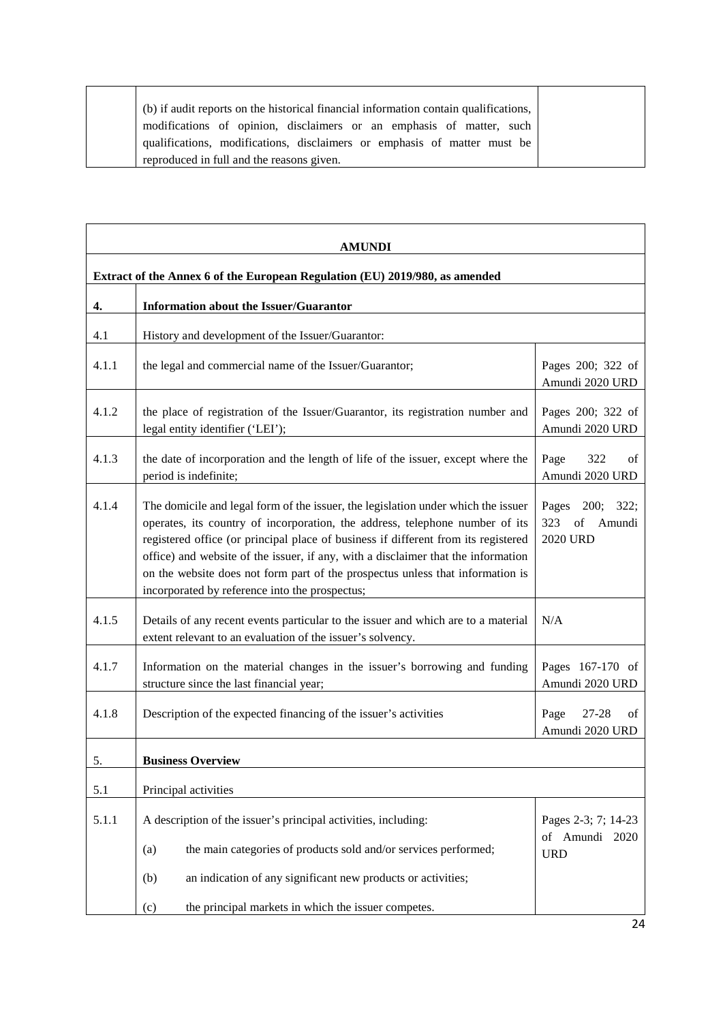| (b) if audit reports on the historical financial information contain qualifications, |
|--------------------------------------------------------------------------------------|
| modifications of opinion, disclaimers or an emphasis of matter, such                 |
| qualifications, modifications, disclaimers or emphasis of matter must be             |
| reproduced in full and the reasons given.                                            |

|       | <b>AMUNDI</b>                                                                                                                                                                                                                                                                                                                                                                                                                                                                    |                                                           |
|-------|----------------------------------------------------------------------------------------------------------------------------------------------------------------------------------------------------------------------------------------------------------------------------------------------------------------------------------------------------------------------------------------------------------------------------------------------------------------------------------|-----------------------------------------------------------|
|       | Extract of the Annex 6 of the European Regulation (EU) 2019/980, as amended                                                                                                                                                                                                                                                                                                                                                                                                      |                                                           |
| 4.    | <b>Information about the Issuer/Guarantor</b>                                                                                                                                                                                                                                                                                                                                                                                                                                    |                                                           |
| 4.1   | History and development of the Issuer/Guarantor:                                                                                                                                                                                                                                                                                                                                                                                                                                 |                                                           |
| 4.1.1 | the legal and commercial name of the Issuer/Guarantor;                                                                                                                                                                                                                                                                                                                                                                                                                           | Pages 200; 322 of<br>Amundi 2020 URD                      |
| 4.1.2 | the place of registration of the Issuer/Guarantor, its registration number and<br>legal entity identifier ('LEI');                                                                                                                                                                                                                                                                                                                                                               | Pages 200; 322 of<br>Amundi 2020 URD                      |
| 4.1.3 | the date of incorporation and the length of life of the issuer, except where the<br>period is indefinite;                                                                                                                                                                                                                                                                                                                                                                        | Page<br>322<br>of<br>Amundi 2020 URD                      |
| 4.1.4 | The domicile and legal form of the issuer, the legislation under which the issuer<br>operates, its country of incorporation, the address, telephone number of its<br>registered office (or principal place of business if different from its registered<br>office) and website of the issuer, if any, with a disclaimer that the information<br>on the website does not form part of the prospectus unless that information is<br>incorporated by reference into the prospectus; | Pages 200; 322;<br>323<br>of<br>Amundi<br><b>2020 URD</b> |
| 4.1.5 | Details of any recent events particular to the issuer and which are to a material<br>extent relevant to an evaluation of the issuer's solvency.                                                                                                                                                                                                                                                                                                                                  | N/A                                                       |
| 4.1.7 | Information on the material changes in the issuer's borrowing and funding<br>structure since the last financial year;                                                                                                                                                                                                                                                                                                                                                            | Pages 167-170 of<br>Amundi 2020 URD                       |
| 4.1.8 | Description of the expected financing of the issuer's activities                                                                                                                                                                                                                                                                                                                                                                                                                 | Page<br>27-28<br>of<br>Amundi 2020 URD                    |
| 5.    | <b>Business Overview</b>                                                                                                                                                                                                                                                                                                                                                                                                                                                         |                                                           |
| 5.1   | Principal activities                                                                                                                                                                                                                                                                                                                                                                                                                                                             |                                                           |
| 5.1.1 | A description of the issuer's principal activities, including:<br>the main categories of products sold and/or services performed;<br>(a)<br>an indication of any significant new products or activities;<br>(b)                                                                                                                                                                                                                                                                  | Pages 2-3; 7; 14-23<br>of Amundi 2020<br><b>URD</b>       |
|       | the principal markets in which the issuer competes.<br>(c)                                                                                                                                                                                                                                                                                                                                                                                                                       |                                                           |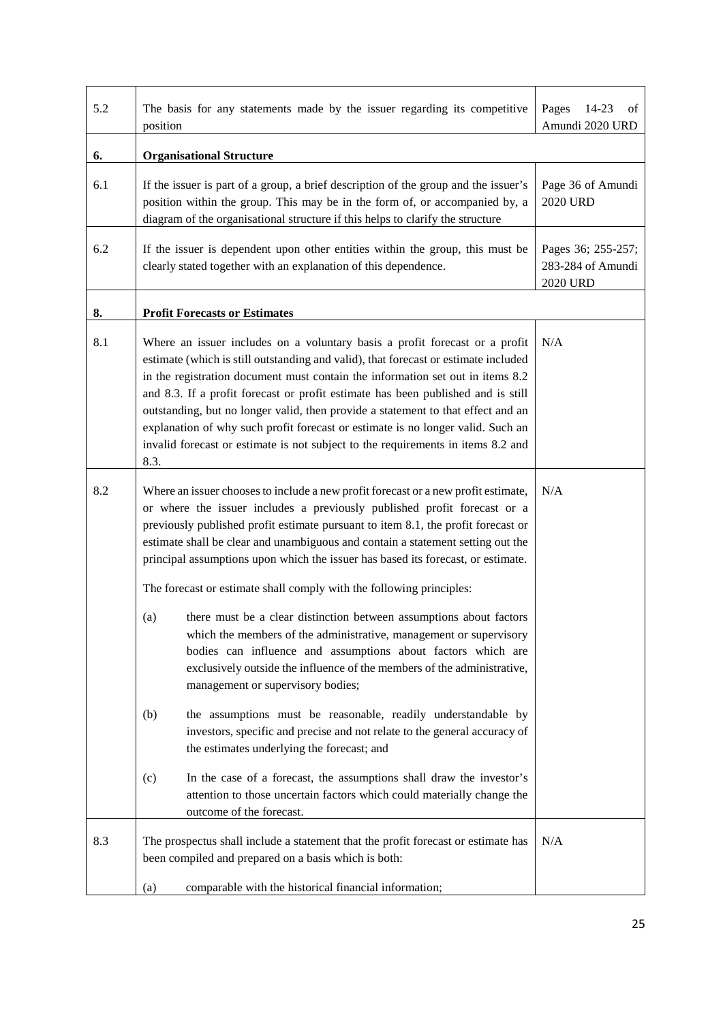| 5.2 | The basis for any statements made by the issuer regarding its competitive<br>position                                                                                                                                                                                                                                                                                                                                                                                                                                                                                                                                                                                                                                                                                                                                                                                                                                                                                                                                                     | Pages<br>14-23<br>οf<br>Amundi 2020 URD                    |
|-----|-------------------------------------------------------------------------------------------------------------------------------------------------------------------------------------------------------------------------------------------------------------------------------------------------------------------------------------------------------------------------------------------------------------------------------------------------------------------------------------------------------------------------------------------------------------------------------------------------------------------------------------------------------------------------------------------------------------------------------------------------------------------------------------------------------------------------------------------------------------------------------------------------------------------------------------------------------------------------------------------------------------------------------------------|------------------------------------------------------------|
| 6.  | <b>Organisational Structure</b>                                                                                                                                                                                                                                                                                                                                                                                                                                                                                                                                                                                                                                                                                                                                                                                                                                                                                                                                                                                                           |                                                            |
| 6.1 | If the issuer is part of a group, a brief description of the group and the issuer's<br>position within the group. This may be in the form of, or accompanied by, a<br>diagram of the organisational structure if this helps to clarify the structure                                                                                                                                                                                                                                                                                                                                                                                                                                                                                                                                                                                                                                                                                                                                                                                      | Page 36 of Amundi<br><b>2020 URD</b>                       |
| 6.2 | If the issuer is dependent upon other entities within the group, this must be<br>clearly stated together with an explanation of this dependence.                                                                                                                                                                                                                                                                                                                                                                                                                                                                                                                                                                                                                                                                                                                                                                                                                                                                                          | Pages 36; 255-257;<br>283-284 of Amundi<br><b>2020 URD</b> |
| 8.  | <b>Profit Forecasts or Estimates</b>                                                                                                                                                                                                                                                                                                                                                                                                                                                                                                                                                                                                                                                                                                                                                                                                                                                                                                                                                                                                      |                                                            |
| 8.1 | Where an issuer includes on a voluntary basis a profit forecast or a profit<br>estimate (which is still outstanding and valid), that forecast or estimate included<br>in the registration document must contain the information set out in items 8.2<br>and 8.3. If a profit forecast or profit estimate has been published and is still<br>outstanding, but no longer valid, then provide a statement to that effect and an<br>explanation of why such profit forecast or estimate is no longer valid. Such an<br>invalid forecast or estimate is not subject to the requirements in items 8.2 and<br>8.3.                                                                                                                                                                                                                                                                                                                                                                                                                               | N/A                                                        |
| 8.2 | Where an issuer chooses to include a new profit forecast or a new profit estimate,<br>or where the issuer includes a previously published profit forecast or a<br>previously published profit estimate pursuant to item 8.1, the profit forecast or<br>estimate shall be clear and unambiguous and contain a statement setting out the<br>principal assumptions upon which the issuer has based its forecast, or estimate.<br>The forecast or estimate shall comply with the following principles:<br>there must be a clear distinction between assumptions about factors<br>(a)<br>which the members of the administrative, management or supervisory<br>bodies can influence and assumptions about factors which are<br>exclusively outside the influence of the members of the administrative,<br>management or supervisory bodies;<br>(b)<br>the assumptions must be reasonable, readily understandable by<br>investors, specific and precise and not relate to the general accuracy of<br>the estimates underlying the forecast; and | N/A                                                        |
|     | In the case of a forecast, the assumptions shall draw the investor's<br>(c)<br>attention to those uncertain factors which could materially change the<br>outcome of the forecast.                                                                                                                                                                                                                                                                                                                                                                                                                                                                                                                                                                                                                                                                                                                                                                                                                                                         |                                                            |
| 8.3 | The prospectus shall include a statement that the profit forecast or estimate has<br>been compiled and prepared on a basis which is both:                                                                                                                                                                                                                                                                                                                                                                                                                                                                                                                                                                                                                                                                                                                                                                                                                                                                                                 | N/A                                                        |
|     | comparable with the historical financial information;<br>(a)                                                                                                                                                                                                                                                                                                                                                                                                                                                                                                                                                                                                                                                                                                                                                                                                                                                                                                                                                                              |                                                            |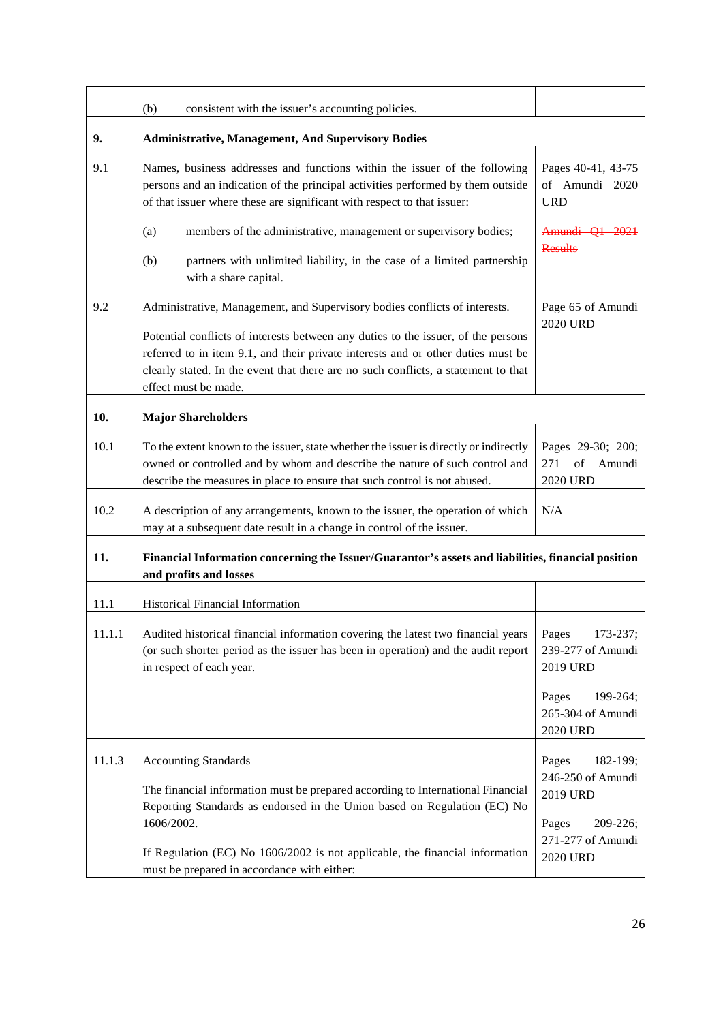|        | consistent with the issuer's accounting policies.<br>(b)                                                                                                                                                                                                                                                                                                          |                                                                                                                 |
|--------|-------------------------------------------------------------------------------------------------------------------------------------------------------------------------------------------------------------------------------------------------------------------------------------------------------------------------------------------------------------------|-----------------------------------------------------------------------------------------------------------------|
| 9.     | <b>Administrative, Management, And Supervisory Bodies</b>                                                                                                                                                                                                                                                                                                         |                                                                                                                 |
| 9.1    | Names, business addresses and functions within the issuer of the following<br>persons and an indication of the principal activities performed by them outside<br>of that issuer where these are significant with respect to that issuer:                                                                                                                          | Pages 40-41, 43-75<br>of Amundi 2020<br><b>URD</b>                                                              |
|        | (a)<br>members of the administrative, management or supervisory bodies;<br>partners with unlimited liability, in the case of a limited partnership<br>(b)<br>with a share capital.                                                                                                                                                                                | Amundi Q1 2021<br><b>Results</b>                                                                                |
| 9.2    | Administrative, Management, and Supervisory bodies conflicts of interests.<br>Potential conflicts of interests between any duties to the issuer, of the persons<br>referred to in item 9.1, and their private interests and or other duties must be<br>clearly stated. In the event that there are no such conflicts, a statement to that<br>effect must be made. | Page 65 of Amundi<br><b>2020 URD</b>                                                                            |
| 10.    | <b>Major Shareholders</b>                                                                                                                                                                                                                                                                                                                                         |                                                                                                                 |
| 10.1   | To the extent known to the issuer, state whether the issuer is directly or indirectly<br>owned or controlled and by whom and describe the nature of such control and<br>describe the measures in place to ensure that such control is not abused.                                                                                                                 | Pages 29-30; 200;<br>of<br>271<br>Amundi<br><b>2020 URD</b>                                                     |
| 10.2   | A description of any arrangements, known to the issuer, the operation of which<br>may at a subsequent date result in a change in control of the issuer.                                                                                                                                                                                                           | N/A                                                                                                             |
| 11.    | Financial Information concerning the Issuer/Guarantor's assets and liabilities, financial position<br>and profits and losses                                                                                                                                                                                                                                      |                                                                                                                 |
| 11.1   | <b>Historical Financial Information</b>                                                                                                                                                                                                                                                                                                                           |                                                                                                                 |
| 11.1.1 | Audited historical financial information covering the latest two financial years<br>(or such shorter period as the issuer has been in operation) and the audit report<br>in respect of each year.                                                                                                                                                                 | Pages<br>173-237;<br>239-277 of Amundi<br>2019 URD<br>199-264;<br>Pages<br>265-304 of Amundi                    |
|        |                                                                                                                                                                                                                                                                                                                                                                   | 2020 URD                                                                                                        |
| 11.1.3 | <b>Accounting Standards</b><br>The financial information must be prepared according to International Financial<br>Reporting Standards as endorsed in the Union based on Regulation (EC) No<br>1606/2002.<br>If Regulation (EC) No 1606/2002 is not applicable, the financial information<br>must be prepared in accordance with either:                           | 182-199;<br>Pages<br>246-250 of Amundi<br>2019 URD<br>Pages<br>209-226;<br>271-277 of Amundi<br><b>2020 URD</b> |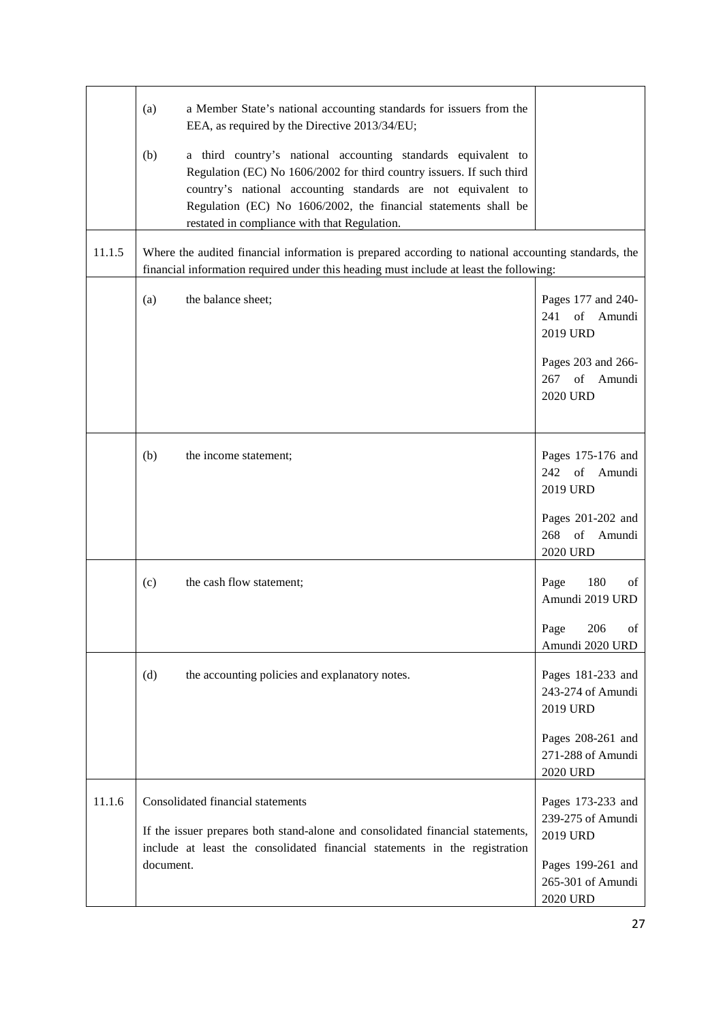|        | (a)<br>a Member State's national accounting standards for issuers from the<br>EEA, as required by the Directive 2013/34/EU;<br>(b)<br>a third country's national accounting standards equivalent to<br>Regulation (EC) No 1606/2002 for third country issuers. If such third<br>country's national accounting standards are not equivalent to<br>Regulation (EC) No 1606/2002, the financial statements shall be<br>restated in compliance with that Regulation. |                                                                                                                       |
|--------|------------------------------------------------------------------------------------------------------------------------------------------------------------------------------------------------------------------------------------------------------------------------------------------------------------------------------------------------------------------------------------------------------------------------------------------------------------------|-----------------------------------------------------------------------------------------------------------------------|
| 11.1.5 | Where the audited financial information is prepared according to national accounting standards, the<br>financial information required under this heading must include at least the following:                                                                                                                                                                                                                                                                    |                                                                                                                       |
|        | (a)<br>the balance sheet;                                                                                                                                                                                                                                                                                                                                                                                                                                        | Pages 177 and 240-<br>of<br>241<br>Amundi<br>2019 URD<br>Pages 203 and 266-<br>of<br>267<br>Amundi<br><b>2020 URD</b> |
|        | (b)<br>the income statement;                                                                                                                                                                                                                                                                                                                                                                                                                                     | Pages 175-176 and<br>242 of Amundi<br>2019 URD<br>Pages 201-202 and<br>of<br>Amundi<br>268<br><b>2020 URD</b>         |
|        | the cash flow statement;<br>(c)                                                                                                                                                                                                                                                                                                                                                                                                                                  | Page<br>180<br>of<br>Amundi 2019 URD<br>Page<br>206<br>of<br>Amundi 2020 URD                                          |
|        | (d)<br>the accounting policies and explanatory notes.                                                                                                                                                                                                                                                                                                                                                                                                            | Pages 181-233 and<br>243-274 of Amundi<br>2019 URD<br>Pages 208-261 and<br>271-288 of Amundi<br><b>2020 URD</b>       |
| 11.1.6 | Consolidated financial statements<br>If the issuer prepares both stand-alone and consolidated financial statements,<br>include at least the consolidated financial statements in the registration<br>document.                                                                                                                                                                                                                                                   | Pages 173-233 and<br>239-275 of Amundi<br>2019 URD<br>Pages 199-261 and<br>265-301 of Amundi<br><b>2020 URD</b>       |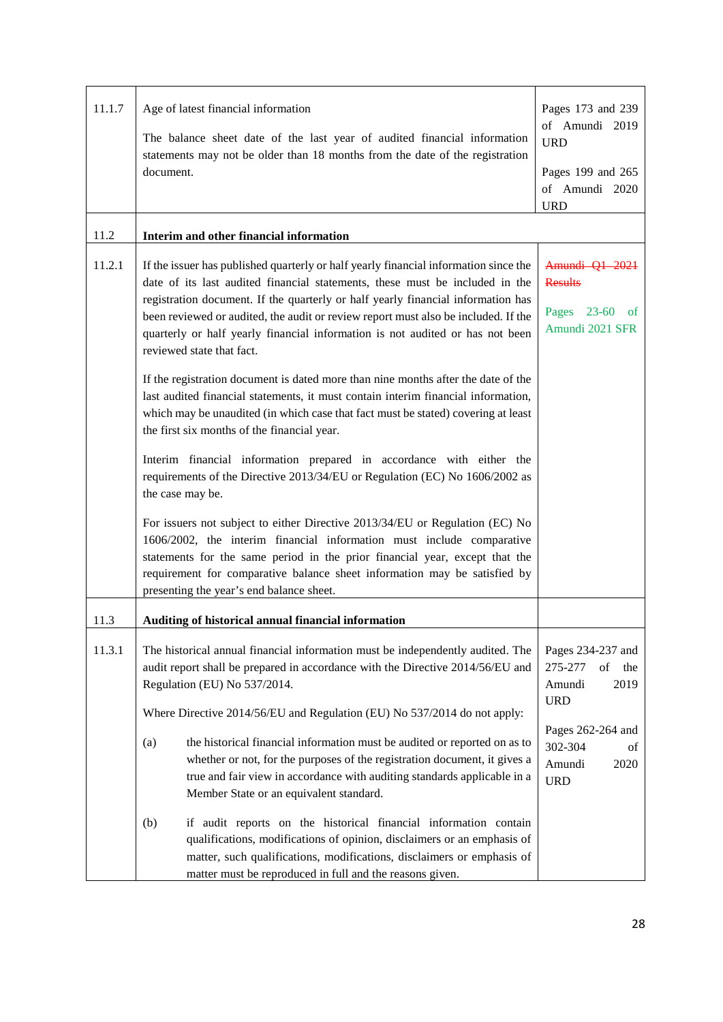| 11.1.7 | Age of latest financial information                                                                                                                                  | Pages 173 and 239<br>of Amundi 2019  |
|--------|----------------------------------------------------------------------------------------------------------------------------------------------------------------------|--------------------------------------|
|        | The balance sheet date of the last year of audited financial information                                                                                             | <b>URD</b>                           |
|        | statements may not be older than 18 months from the date of the registration                                                                                         |                                      |
|        | document.                                                                                                                                                            | Pages 199 and 265<br>of Amundi 2020  |
|        |                                                                                                                                                                      | <b>URD</b>                           |
| 11.2   | Interim and other financial information                                                                                                                              |                                      |
|        |                                                                                                                                                                      |                                      |
| 11.2.1 | If the issuer has published quarterly or half yearly financial information since the<br>date of its last audited financial statements, these must be included in the | Amundi Q1 2021<br><b>Results</b>     |
|        | registration document. If the quarterly or half yearly financial information has                                                                                     |                                      |
|        | been reviewed or audited, the audit or review report must also be included. If the                                                                                   | Pages 23-60<br>of<br>Amundi 2021 SFR |
|        | quarterly or half yearly financial information is not audited or has not been<br>reviewed state that fact.                                                           |                                      |
|        | If the registration document is dated more than nine months after the date of the                                                                                    |                                      |
|        | last audited financial statements, it must contain interim financial information,                                                                                    |                                      |
|        | which may be unaudited (in which case that fact must be stated) covering at least<br>the first six months of the financial year.                                     |                                      |
|        |                                                                                                                                                                      |                                      |
|        | Interim financial information prepared in accordance with either the                                                                                                 |                                      |
|        | requirements of the Directive 2013/34/EU or Regulation (EC) No 1606/2002 as<br>the case may be.                                                                      |                                      |
|        |                                                                                                                                                                      |                                      |
|        | For issuers not subject to either Directive 2013/34/EU or Regulation (EC) No<br>1606/2002, the interim financial information must include comparative                |                                      |
|        | statements for the same period in the prior financial year, except that the                                                                                          |                                      |
|        | requirement for comparative balance sheet information may be satisfied by                                                                                            |                                      |
|        | presenting the year's end balance sheet.                                                                                                                             |                                      |
| 11.3   | Auditing of historical annual financial information                                                                                                                  |                                      |
| 11.3.1 | The historical annual financial information must be independently audited. The                                                                                       | Pages 234-237 and                    |
|        | audit report shall be prepared in accordance with the Directive 2014/56/EU and                                                                                       | 275-277<br>of<br>the                 |
|        | Regulation (EU) No 537/2014.                                                                                                                                         | 2019<br>Amundi<br><b>URD</b>         |
|        | Where Directive 2014/56/EU and Regulation (EU) No 537/2014 do not apply:                                                                                             |                                      |
|        | the historical financial information must be audited or reported on as to<br>(a)                                                                                     | Pages 262-264 and<br>302-304<br>of   |
|        | whether or not, for the purposes of the registration document, it gives a                                                                                            | Amundi<br>2020                       |
|        | true and fair view in accordance with auditing standards applicable in a<br>Member State or an equivalent standard.                                                  | <b>URD</b>                           |
|        |                                                                                                                                                                      |                                      |
|        | if audit reports on the historical financial information contain<br>(b)<br>qualifications, modifications of opinion, disclaimers or an emphasis of                   |                                      |
|        | matter, such qualifications, modifications, disclaimers or emphasis of                                                                                               |                                      |
|        | matter must be reproduced in full and the reasons given.                                                                                                             |                                      |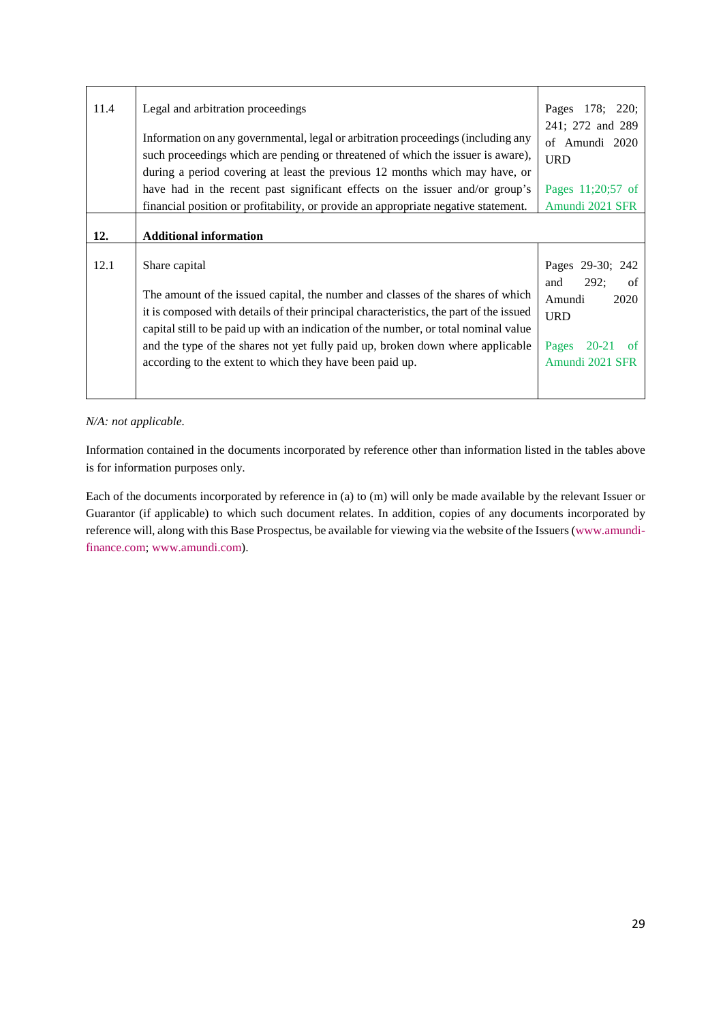| 11.4 | Legal and arbitration proceedings<br>Information on any governmental, legal or arbitration proceedings (including any<br>such proceedings which are pending or threatened of which the issuer is aware),<br>during a period covering at least the previous 12 months which may have, or | Pages 178; 220;<br>241; 272 and 289<br>of Amundi 2020<br><b>URD</b> |
|------|-----------------------------------------------------------------------------------------------------------------------------------------------------------------------------------------------------------------------------------------------------------------------------------------|---------------------------------------------------------------------|
|      | have had in the recent past significant effects on the issuer and/or group's                                                                                                                                                                                                            | Pages 11;20;57 of                                                   |
|      | financial position or profitability, or provide an appropriate negative statement.                                                                                                                                                                                                      | Amundi 2021 SFR                                                     |
| 12.  | <b>Additional information</b>                                                                                                                                                                                                                                                           |                                                                     |
| 12.1 | Share capital<br>The amount of the issued capital, the number and classes of the shares of which                                                                                                                                                                                        | Pages 29-30; 242<br>292;<br>and<br>of                               |

# *N/A: not applicable.*

Information contained in the documents incorporated by reference other than information listed in the tables above is for information purposes only.

<span id="page-28-0"></span>Each of the documents incorporated by reference in (a) to (m) will only be made available by the relevant Issuer or [Guarantor \(if applicable\) to which such document relates. In addition, copies of any documents incorporated by](http://www.amundi-finance.com/)  [reference will, along with this Base Prospectus, be available for viewing via the website of the Issuers \(](http://www.amundi-finance.com/)www.amundifinance.com; www.amundi.com).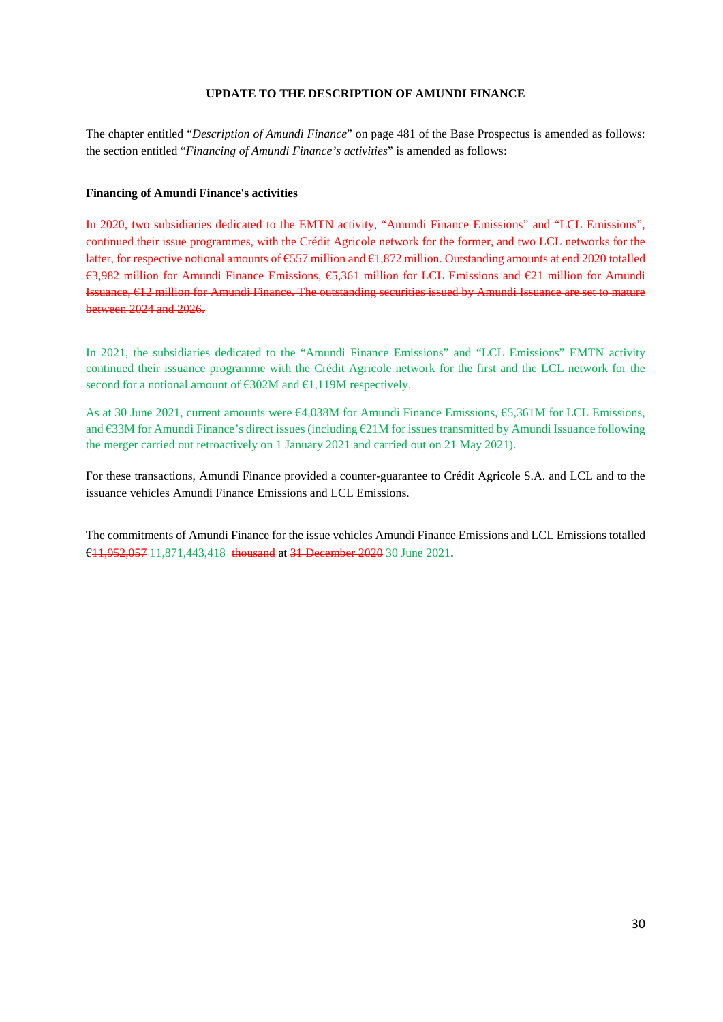#### **UPDATE TO THE DESCRIPTION OF AMUNDI FINANCE**

<span id="page-29-0"></span>The chapter entitled "*Description of Amundi Finance*" on page 481 of the Base Prospectus is amended as follows: the section entitled "*Financing of Amundi Finance's activities*" is amended as follows:

#### **Financing of Amundi Finance's activities**

In 2020, two subsidiaries dedicated to the EMTN activity, "Amundi Finance Emissions" and "LCL Emissions", continued their issue programmes, with the Crédit Agricole network for the former, and two LCL networks for the latter, for respective notional amounts of €557 million and €1,872 million. Outstanding amounts at end 2020 totalled €3,982 million for Amundi Finance Emissions, €5,361 million for LCL Emissions and €21 million for Amundi Issuance, €12 million for Amundi Finance. The outstanding securities issued by Amundi Issuance are set to mature between 2024 and 2026.

In 2021, the subsidiaries dedicated to the "Amundi Finance Emissions" and "LCL Emissions" EMTN activity continued their issuance programme with the Crédit Agricole network for the first and the LCL network for the second for a notional amount of  $\epsilon$ 302M and  $\epsilon$ 1,119M respectively.

As at 30 June 2021, current amounts were €4,038M for Amundi Finance Emissions, €5,361M for LCL Emissions, and €33M for Amundi Finance's direct issues (including €21M for issues transmitted by Amundi Issuance following the merger carried out retroactively on 1 January 2021 and carried out on 21 May 2021).

For these transactions, Amundi Finance provided a counter-guarantee to Crédit Agricole S.A. and LCL and to the issuance vehicles Amundi Finance Emissions and LCL Emissions.

The commitments of Amundi Finance for the issue vehicles Amundi Finance Emissions and LCL Emissions totalled €11,952,057 11,871,443,418 thousand at 31 December 2020 30 June 2021.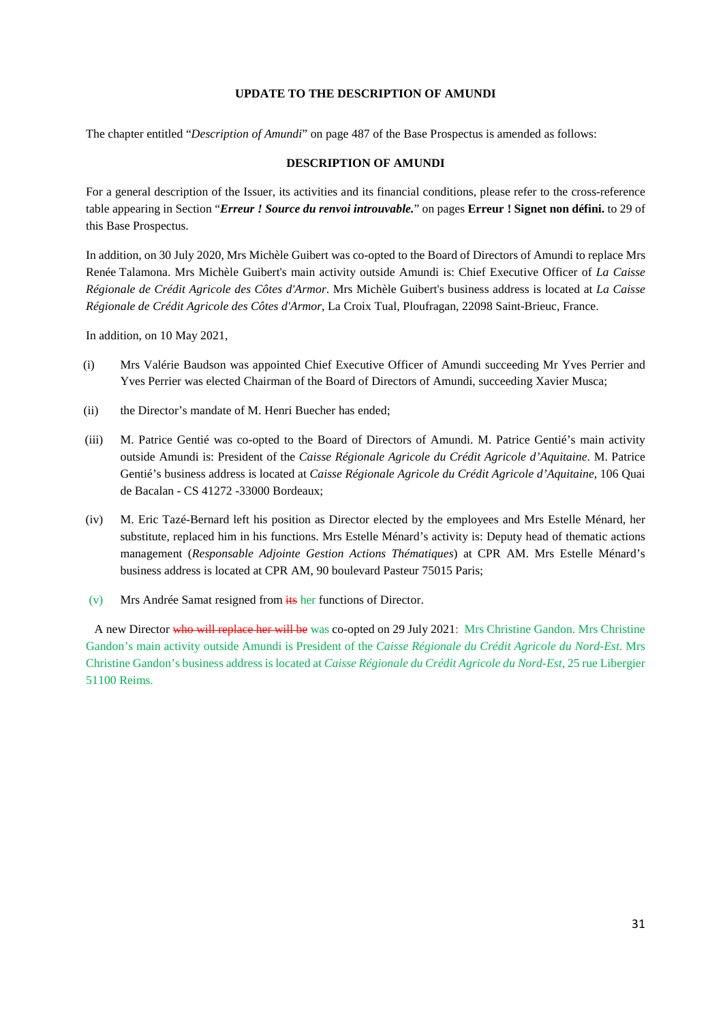#### **UPDATE TO THE DESCRIPTION OF AMUNDI**

<span id="page-30-0"></span>The chapter entitled "*Description of Amundi*" on page 487 of the Base Prospectus is amended as follows:

#### **DESCRIPTION OF AMUNDI**

For a general description of the Issuer, its activities and its financial conditions, pl[ease](#page-28-0) refer to the cross-reference table appearing in Section "*Erreur ! Source du renvoi introuvable.*" on pages **Erreur ! Signet non défini.** to 29 of this Base Prospectus.

In addition, on 30 July 2020, Mrs Michèle Guibert was co-opted to the Board of Directors of Amundi to replace Mrs Renée Talamona. Mrs Michèle Guibert's main activity outside Amundi is: Chief Executive Officer of *La Caisse Régionale de Crédit Agricole des Côtes d'Armor*. Mrs Michèle Guibert's business address is located at *La Caisse Régionale de Crédit Agricole des Côtes d'Armor*, La Croix Tual, Ploufragan, 22098 Saint-Brieuc, France.

In addition, on 10 May 2021,

- (i) Mrs Valérie Baudson was appointed Chief Executive Officer of Amundi succeeding Mr Yves Perrier and Yves Perrier was elected Chairman of the Board of Directors of Amundi, succeeding Xavier Musca;
- (ii) the Director's mandate of M. Henri Buecher has ended;
- (iii) M. Patrice Gentié was co-opted to the Board of Directors of Amundi. M. Patrice Gentié's main activity outside Amundi is: President of the *Caisse Régionale Agricole du Crédit Agricole d'Aquitaine*. M. Patrice Gentié's business address is located at *Caisse Régionale Agricole du Crédit Agricole d'Aquitaine*, 106 Quai de Bacalan - CS 41272 -33000 Bordeaux;
- (iv) M. Eric Tazé-Bernard left his position as Director elected by the employees and Mrs Estelle Ménard, her substitute, replaced him in his functions. Mrs Estelle Ménard's activity is: Deputy head of thematic actions management (*Responsable Adjointe Gestion Actions Thématiques*) at CPR AM. Mrs Estelle Ménard's business address is located at CPR AM, 90 boulevard Pasteur 75015 Paris;
- (v) Mrs Andrée Samat resigned from  $\frac{1}{18}$  her functions of Director.

A new Director who will replace her will be was co-opted on 29 July 2021: Mrs Christine Gandon. Mrs Christine Gandon's main activity outside Amundi is President of the *Caisse Régionale du Crédit Agricole du Nord-Est*. Mrs Christine Gandon's business address is located at *Caisse Régionale du Crédit Agricole du Nord-Est*, 25 rue Libergier 51100 Reims.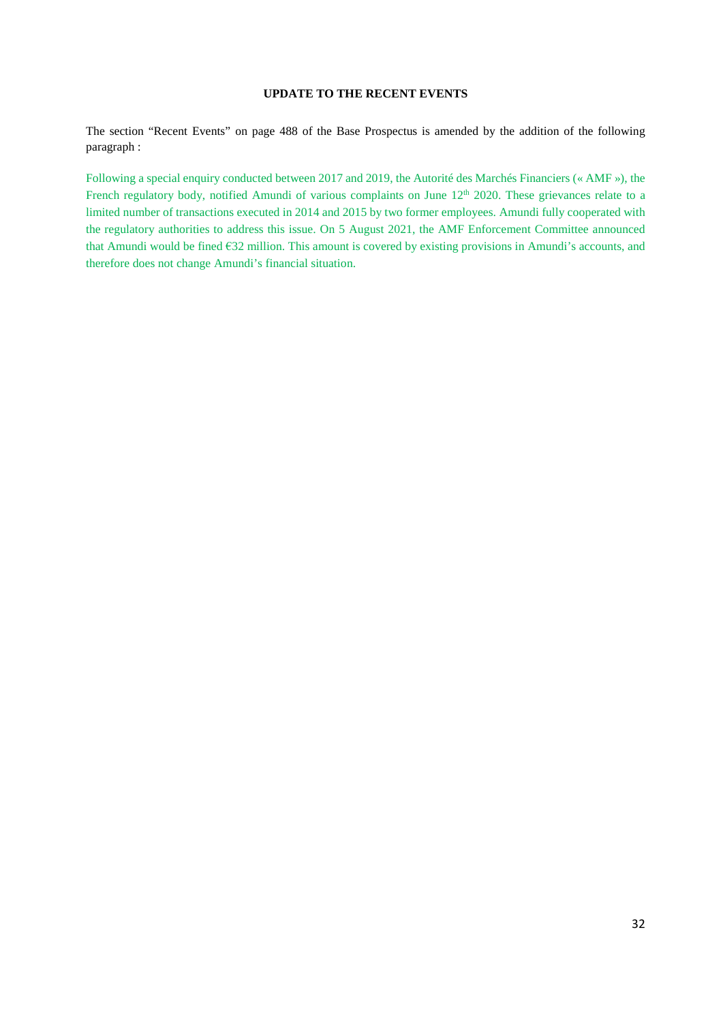# **UPDATE TO THE RECENT EVENTS**

<span id="page-31-0"></span>The section "Recent Events" on page 488 of the Base Prospectus is amended by the addition of the following paragraph :

Following a special enquiry conducted between 2017 and 2019, the Autorité des Marchés Financiers (« AMF »), the French regulatory body, notified Amundi of various complaints on June 12<sup>th</sup> 2020. These grievances relate to a limited number of transactions executed in 2014 and 2015 by two former employees. Amundi fully cooperated with the regulatory authorities to address this issue. On 5 August 2021, the AMF Enforcement Committee announced that Amundi would be fined €32 million. This amount is covered by existing provisions in Amundi's accounts, and therefore does not change Amundi's financial situation.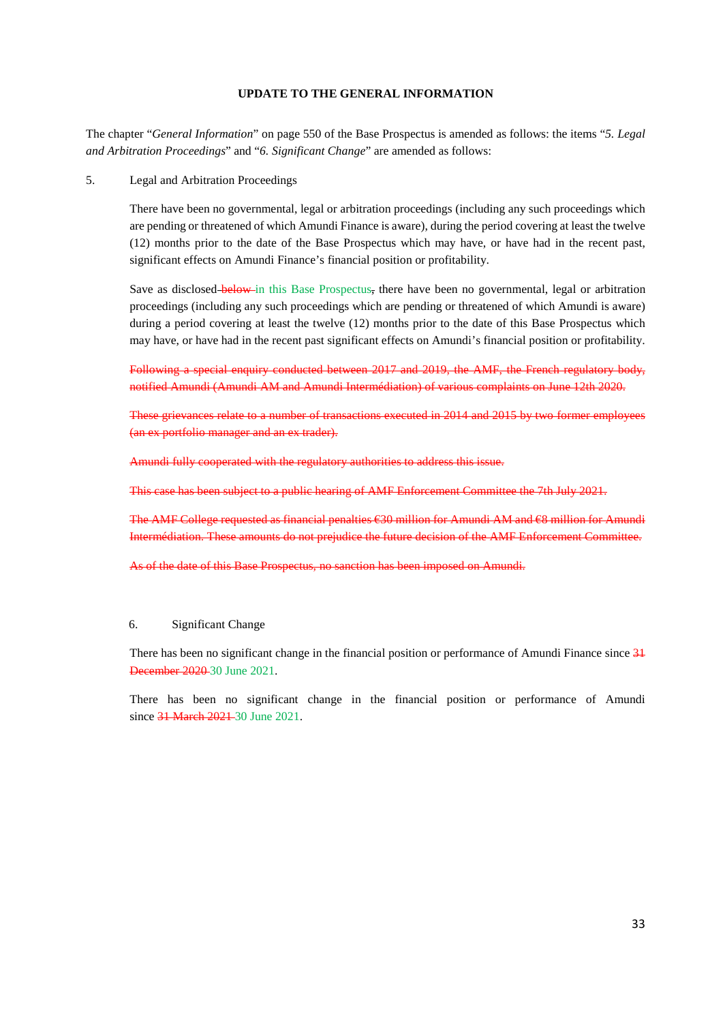#### **UPDATE TO THE GENERAL INFORMATION**

<span id="page-32-0"></span>The chapter "*General Information*" on page 550 of the Base Prospectus is amended as follows: the items "*5. Legal and Arbitration Proceedings*" and "*6. Significant Change*" are amended as follows:

5. Legal and Arbitration Proceedings

There have been no governmental, legal or arbitration proceedings (including any such proceedings which are pending or threatened of which Amundi Finance is aware), during the period covering at least the twelve (12) months prior to the date of the Base Prospectus which may have, or have had in the recent past, significant effects on Amundi Finance's financial position or profitability.

Save as disclosed–below in this Base Prospectus, there have been no governmental, legal or arbitration proceedings (including any such proceedings which are pending or threatened of which Amundi is aware) during a period covering at least the twelve  $(12)$  months prior to the date of this Base Prospectus which may have, or have had in the recent past significant effects on Amundi's financial position or profitability.

Following a special enquiry conducted between 2017 and 2019, the AMF, the French regulatory body, notified Amundi (Amundi AM and Amundi Intermédiation) of various complaints on June 12th 2020.

These grievances relate to a number of transactions executed in 2014 and 2015 by two former employees (an ex portfolio manager and an ex trader).

Amundi fully cooperated with the regulatory authorities to address this issue.

This case has been subject to a public hearing of AMF Enforcement Committee the 7th July 2021.

The AMF College requested as financial penalties €30 million for Amundi AM and €8 million for Amundi Intermédiation. These amounts do not prejudice the future decision of the AMF Enforcement Committee.

As of the date of this Base Prospectus, no sanction has been imposed on Amundi.

#### 6. Significant Change

There has been no significant change in the financial position or performance of Amundi Finance since  $31$ December 2020 30 June 2021.

There has been no significant change in the financial position or performance of Amundi since 31 March 2021 - 30 June 2021.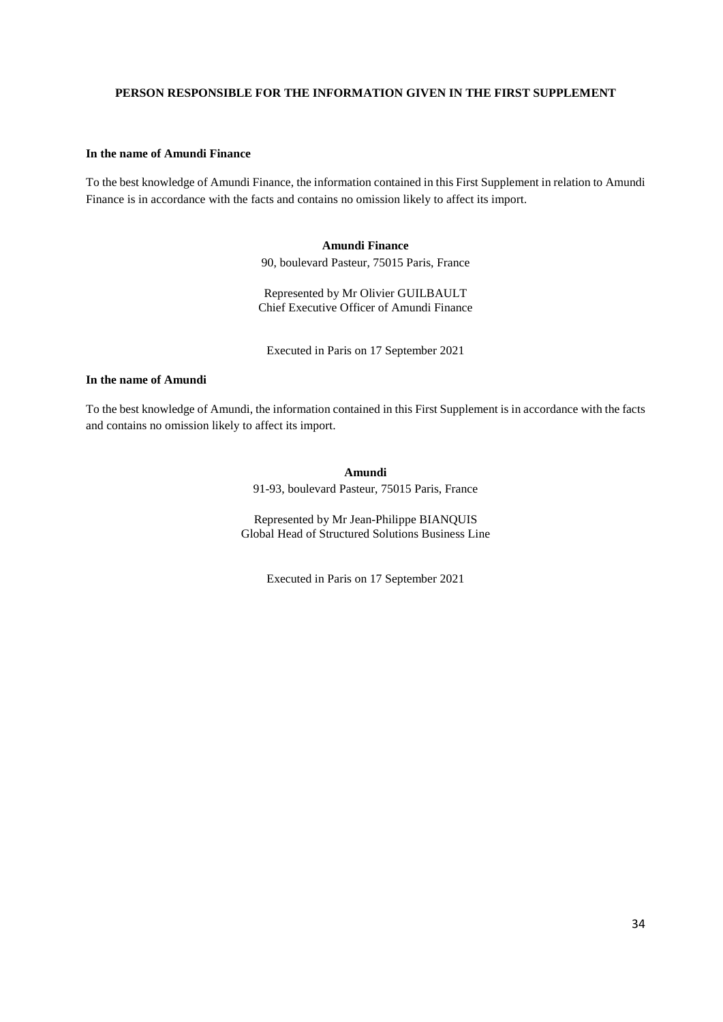#### <span id="page-33-0"></span>**PERSON RESPONSIBLE FOR THE INFORMATION GIVEN IN THE FIRST SUPPLEMENT**

#### **In the name of Amundi Finance**

To the best knowledge of Amundi Finance, the information contained in this First Supplement in relation to Amundi Finance is in accordance with the facts and contains no omission likely to affect its import.

#### **Amundi Finance**

90, boulevard Pasteur, 75015 Paris, France

Represented by Mr Olivier GUILBAULT Chief Executive Officer of Amundi Finance

Executed in Paris on 17 September 2021

# **In the name of Amundi**

To the best knowledge of Amundi, the information contained in this First Supplement is in accordance with the facts and contains no omission likely to affect its import.

**Amundi** 

91-93, boulevard Pasteur, 75015 Paris, France

Represented by Mr Jean-Philippe BIANQUIS Global Head of Structured Solutions Business Line

Executed in Paris on 17 September 2021